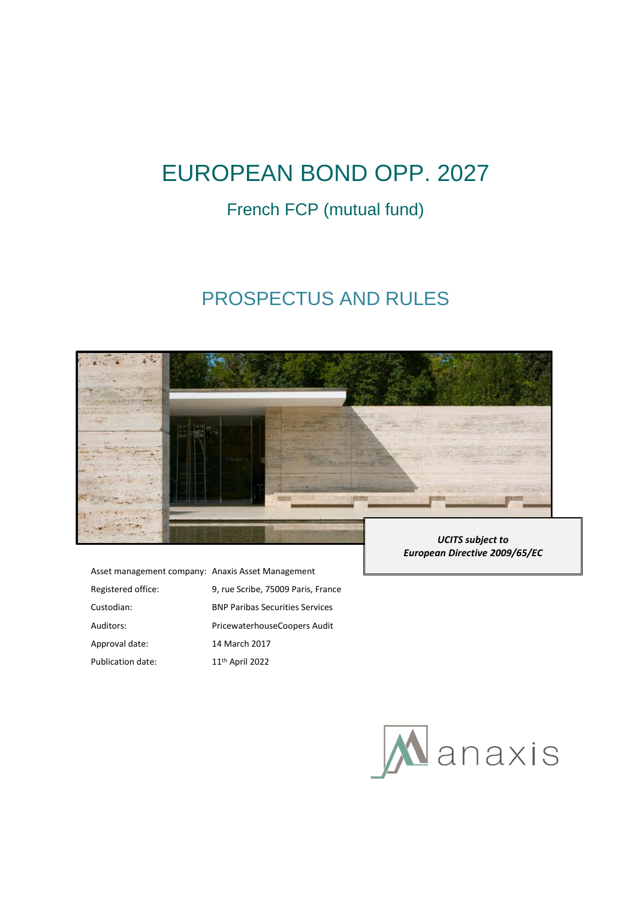# EUROPEAN BOND OPP. 2027

## French FCP (mutual fund)

## PROSPECTUS AND RULES



| Asset management company: Anaxis Asset Management |                                        |
|---------------------------------------------------|----------------------------------------|
| Registered office:                                | 9, rue Scribe, 75009 Paris, France     |
| Custodian:                                        | <b>BNP Paribas Securities Services</b> |
| Auditors:                                         | PricewaterhouseCoopers Audit           |
| Approval date:                                    | 14 March 2017                          |
| Publication date:                                 | 11 <sup>th</sup> April 2022            |
|                                                   |                                        |

*UCITS subject to European Directive 2009/65/EC*

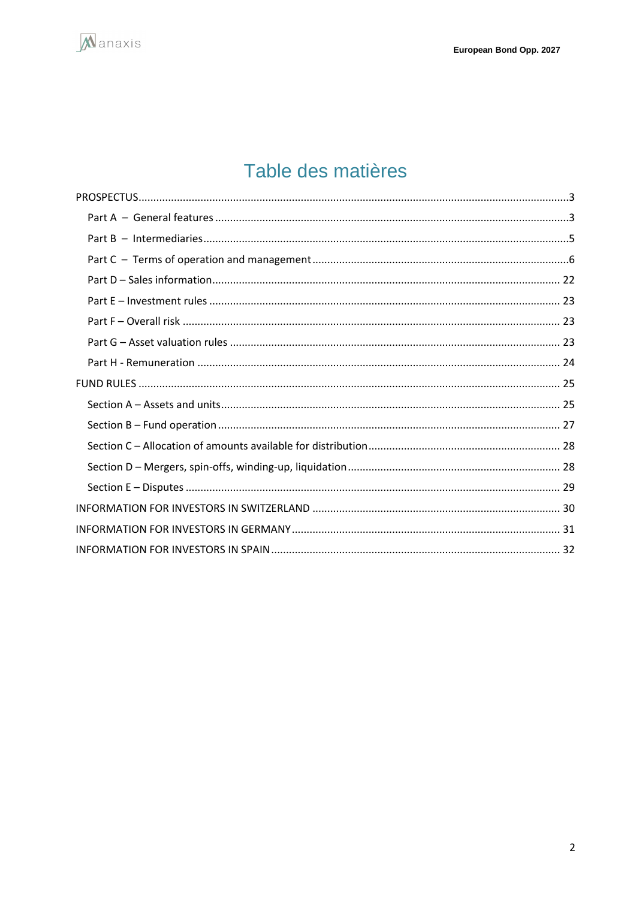

# Table des matières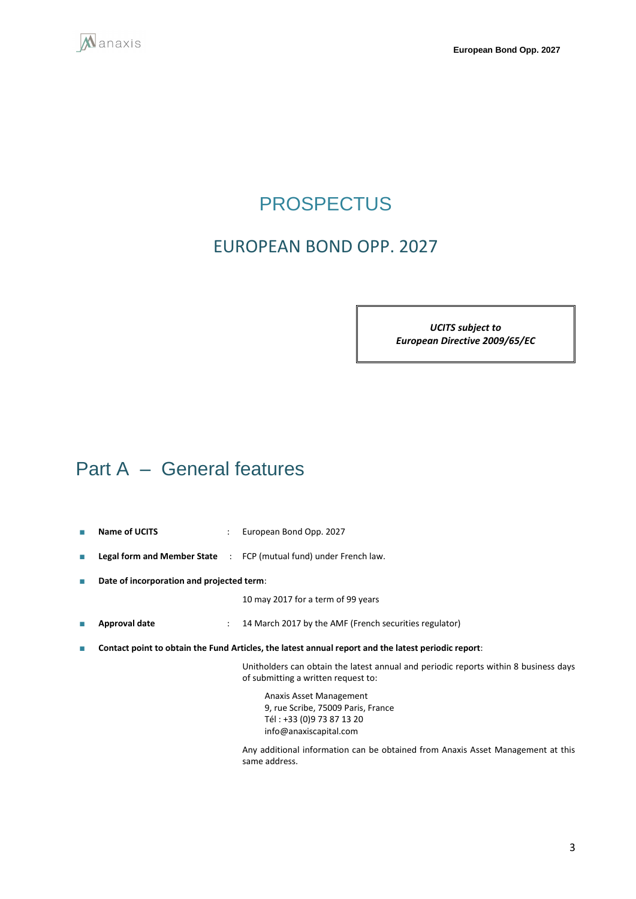<span id="page-2-0"></span>

## **PROSPECTUS**

## EUROPEAN BOND OPP. 2027

*UCITS subject to European Directive 2009/65/EC*

## <span id="page-2-1"></span>Part A – General features

- **Name of UCITS** : European Bond Opp. 2027
- **Legal form and Member State** : FCP (mutual fund) under French law.
- **Date of incorporation and projected term**:

10 may 2017 for a term of 99 years

- **Approval date** : 14 March 2017 by the AMF (French securities regulator)
- **Contact point to obtain the Fund Articles, the latest annual report and the latest periodic report**:

Unitholders can obtain the latest annual and periodic reports within 8 business days of submitting a written request to:

Anaxis Asset Management 9, rue Scribe, 75009 Paris, France Tél : +33 (0)9 73 87 13 20 info@anaxiscapital.com

Any additional information can be obtained from Anaxis Asset Management at this same address.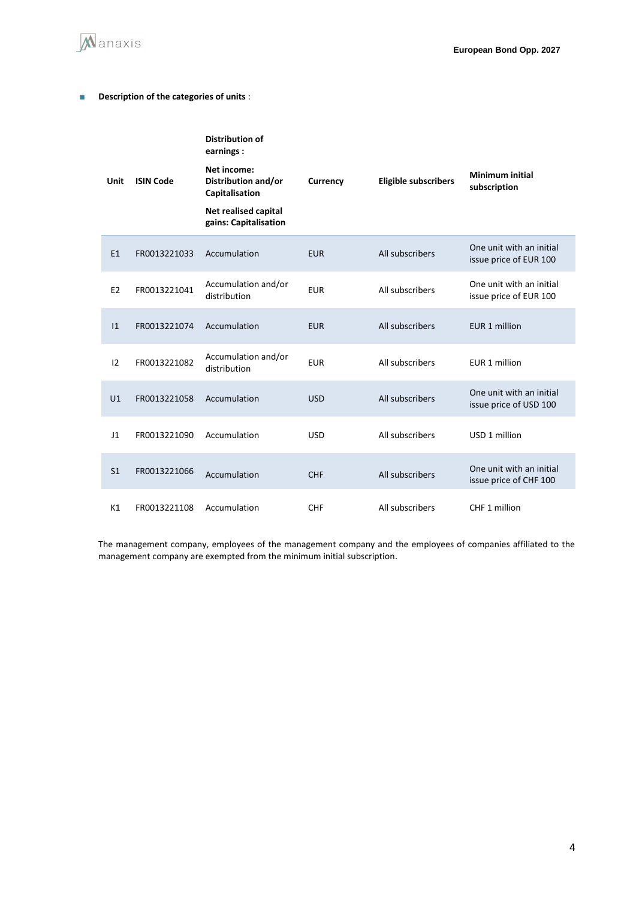

### ■ **Description of the categories of units** :

| Unit           | <b>ISIN Code</b> | <b>Distribution of</b><br>earnings:<br>Net income:<br>Distribution and/or<br>Capitalisation<br>Net realised capital<br>gains: Capitalisation | Currency   | <b>Eligible subscribers</b> | Minimum initial<br>subscription                    |
|----------------|------------------|----------------------------------------------------------------------------------------------------------------------------------------------|------------|-----------------------------|----------------------------------------------------|
| E1             | FR0013221033     | Accumulation                                                                                                                                 | <b>EUR</b> | All subscribers             | One unit with an initial<br>issue price of EUR 100 |
| E <sub>2</sub> | FR0013221041     | Accumulation and/or<br>distribution                                                                                                          | <b>EUR</b> | All subscribers             | One unit with an initial<br>issue price of EUR 100 |
| 1              | FR0013221074     | Accumulation                                                                                                                                 | <b>EUR</b> | All subscribers             | EUR 1 million                                      |
| 12             | FR0013221082     | Accumulation and/or<br>distribution                                                                                                          | <b>EUR</b> | All subscribers             | EUR 1 million                                      |
| U1             | FR0013221058     | Accumulation                                                                                                                                 | <b>USD</b> | All subscribers             | One unit with an initial<br>issue price of USD 100 |
| 11             | FR0013221090     | Accumulation                                                                                                                                 | <b>USD</b> | All subscribers             | USD 1 million                                      |
| S <sub>1</sub> | FR0013221066     | Accumulation                                                                                                                                 | <b>CHF</b> | All subscribers             | One unit with an initial<br>issue price of CHF 100 |
| K1             | FR0013221108     | Accumulation                                                                                                                                 | <b>CHF</b> | All subscribers             | CHF 1 million                                      |

The management company, employees of the management company and the employees of companies affiliated to the management company are exempted from the minimum initial subscription.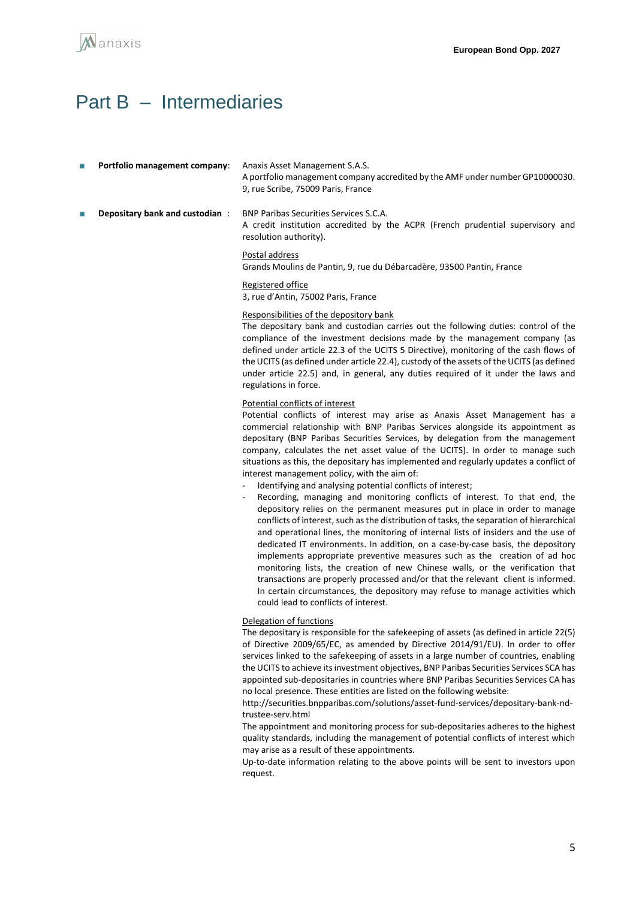

## <span id="page-4-0"></span>Part B – Intermediaries

- Portfolio management company: Anaxis Asset Management S.A.S. A portfolio management company accredited by the AMF under number GP10000030. 9, rue Scribe, 75009 Paris, France **Depositary bank and custodian : BNP Paribas Securities Services S.C.A.** 
	- A credit institution accredited by the ACPR (French prudential supervisory and resolution authority).

#### Postal address

Grands Moulins de Pantin, 9, rue du Débarcadère, 93500 Pantin, France

#### Registered office

3, rue d'Antin, 75002 Paris, France

#### Responsibilities of the depository bank

The depositary bank and custodian carries out the following duties: control of the compliance of the investment decisions made by the management company (as defined under article 22.3 of the UCITS 5 Directive), monitoring of the cash flows of the UCITS (as defined under article 22.4), custody of the assets of the UCITS (as defined under article 22.5) and, in general, any duties required of it under the laws and regulations in force.

#### Potential conflicts of interest

Potential conflicts of interest may arise as Anaxis Asset Management has a commercial relationship with BNP Paribas Services alongside its appointment as depositary (BNP Paribas Securities Services, by delegation from the management company, calculates the net asset value of the UCITS). In order to manage such situations as this, the depositary has implemented and regularly updates a conflict of interest management policy, with the aim of:

- Identifying and analysing potential conflicts of interest;
- Recording, managing and monitoring conflicts of interest. To that end, the depository relies on the permanent measures put in place in order to manage conflicts of interest, such as the distribution of tasks, the separation of hierarchical and operational lines, the monitoring of internal lists of insiders and the use of dedicated IT environments. In addition, on a case-by-case basis, the depository implements appropriate preventive measures such as the creation of ad hoc monitoring lists, the creation of new Chinese walls, or the verification that transactions are properly processed and/or that the relevant client is informed. In certain circumstances, the depository may refuse to manage activities which could lead to conflicts of interest.

#### Delegation of functions

The depositary is responsible for the safekeeping of assets (as defined in article 22(5) of Directive 2009/65/EC, as amended by Directive 2014/91/EU). In order to offer services linked to the safekeeping of assets in a large number of countries, enabling the UCITS to achieve its investment objectives, BNP Paribas Securities Services SCA has appointed sub-depositaries in countries where BNP Paribas Securities Services CA has no local presence. These entities are listed on the following website:

http://securities.bnpparibas.com/solutions/asset-fund-services/depositary-bank-ndtrustee-serv.html

The appointment and monitoring process for sub-depositaries adheres to the highest quality standards, including the management of potential conflicts of interest which may arise as a result of these appointments.

Up-to-date information relating to the above points will be sent to investors upon request.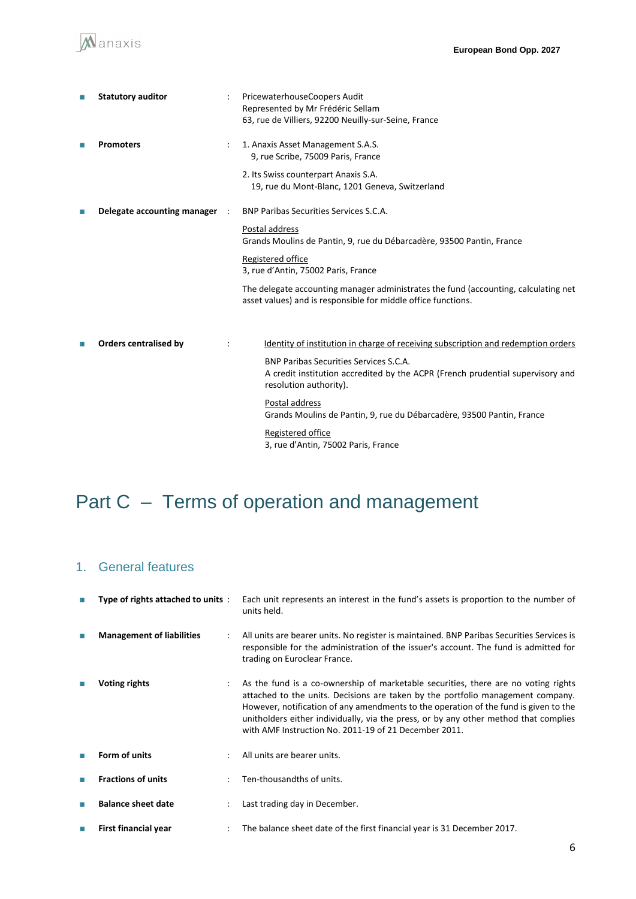| П | <b>Statutory auditor</b>     |                | PricewaterhouseCoopers Audit<br>Represented by Mr Frédéric Sellam<br>63, rue de Villiers, 92200 Neuilly-sur-Seine, France                                 |
|---|------------------------------|----------------|-----------------------------------------------------------------------------------------------------------------------------------------------------------|
|   | <b>Promoters</b>             |                | 1. Anaxis Asset Management S.A.S.<br>9, rue Scribe, 75009 Paris, France<br>2. Its Swiss counterpart Anaxis S.A.                                           |
|   |                              |                | 19, rue du Mont-Blanc, 1201 Geneva, Switzerland                                                                                                           |
|   | Delegate accounting manager  | $\mathbb{R}^2$ | <b>BNP Paribas Securities Services S.C.A.</b>                                                                                                             |
|   |                              |                | Postal address<br>Grands Moulins de Pantin, 9, rue du Débarcadère, 93500 Pantin, France                                                                   |
|   |                              |                | Registered office<br>3, rue d'Antin, 75002 Paris, France                                                                                                  |
|   |                              |                | The delegate accounting manager administrates the fund (accounting, calculating net<br>asset values) and is responsible for middle office functions.      |
|   | <b>Orders centralised by</b> |                | Identity of institution in charge of receiving subscription and redemption orders                                                                         |
|   |                              |                | <b>BNP Paribas Securities Services S.C.A.</b><br>A credit institution accredited by the ACPR (French prudential supervisory and<br>resolution authority). |
|   |                              |                | Postal address<br>Grands Moulins de Pantin, 9, rue du Débarcadère, 93500 Pantin, France                                                                   |
|   |                              |                | Registered office<br>3, rue d'Antin, 75002 Paris, France                                                                                                  |

# <span id="page-5-0"></span>Part C – Terms of operation and management

## 1. General features

| Type of rights attached to units: |                      | Each unit represents an interest in the fund's assets is proportion to the number of<br>units held.                                                                                                                                                                                                                                                                                                            |  |  |
|-----------------------------------|----------------------|----------------------------------------------------------------------------------------------------------------------------------------------------------------------------------------------------------------------------------------------------------------------------------------------------------------------------------------------------------------------------------------------------------------|--|--|
| <b>Management of liabilities</b>  |                      | All units are bearer units. No register is maintained. BNP Paribas Securities Services is<br>responsible for the administration of the issuer's account. The fund is admitted for<br>trading on Euroclear France.                                                                                                                                                                                              |  |  |
| Voting rights                     | $\ddot{\phantom{a}}$ | As the fund is a co-ownership of marketable securities, there are no voting rights<br>attached to the units. Decisions are taken by the portfolio management company.<br>However, notification of any amendments to the operation of the fund is given to the<br>unitholders either individually, via the press, or by any other method that complies<br>with AMF Instruction No. 2011-19 of 21 December 2011. |  |  |
| Form of units                     |                      | All units are bearer units.                                                                                                                                                                                                                                                                                                                                                                                    |  |  |
| <b>Fractions of units</b>         |                      | Ten-thousandths of units.                                                                                                                                                                                                                                                                                                                                                                                      |  |  |
| <b>Balance sheet date</b>         |                      | Last trading day in December.                                                                                                                                                                                                                                                                                                                                                                                  |  |  |
| First financial year              |                      | The balance sheet date of the first financial year is 31 December 2017.                                                                                                                                                                                                                                                                                                                                        |  |  |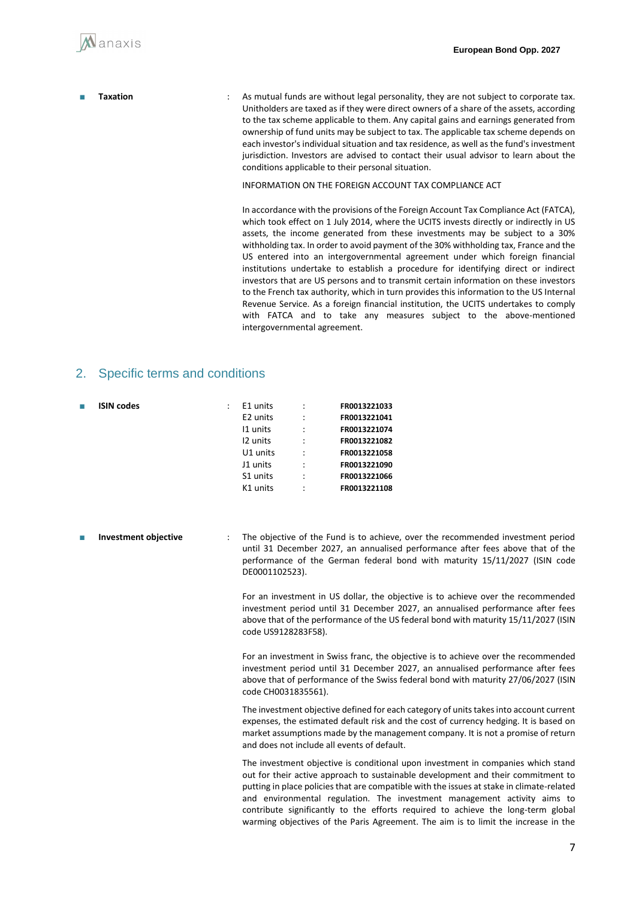- 
- **Taxation** : As mutual funds are without legal personality, they are not subject to corporate tax. Unitholders are taxed as if they were direct owners of a share of the assets, according to the tax scheme applicable to them. Any capital gains and earnings generated from ownership of fund units may be subject to tax. The applicable tax scheme depends on each investor's individual situation and tax residence, as well as the fund's investment jurisdiction. Investors are advised to contact their usual advisor to learn about the conditions applicable to their personal situation.

INFORMATION ON THE FOREIGN ACCOUNT TAX COMPLIANCE ACT

In accordance with the provisions of the Foreign Account Tax Compliance Act (FATCA), which took effect on 1 July 2014, where the UCITS invests directly or indirectly in US assets, the income generated from these investments may be subject to a 30% withholding tax. In order to avoid payment of the 30% withholding tax, France and the US entered into an intergovernmental agreement under which foreign financial institutions undertake to establish a procedure for identifying direct or indirect investors that are US persons and to transmit certain information on these investors to the French tax authority, which in turn provides this information to the US Internal Revenue Service. As a foreign financial institution, the UCITS undertakes to comply with FATCA and to take any measures subject to the above-mentioned intergovernmental agreement.

### 2. Specific terms and conditions

| ш | <b>ISIN codes</b> | E1 units |                      | FR0013221033 |
|---|-------------------|----------|----------------------|--------------|
|   |                   | E2 units | $\ddot{\phantom{0}}$ | FR0013221041 |
|   |                   | 11 units |                      | FR0013221074 |
|   |                   | 12 units | $\ddot{\cdot}$       | FR0013221082 |
|   |                   | U1 units |                      | FR0013221058 |
|   |                   | J1 units | $\ddot{\cdot}$       | FR0013221090 |
|   |                   | S1 units | $\ddot{\phantom{a}}$ | FR0013221066 |
|   |                   | K1 units | $\ddot{\cdot}$       | FR0013221108 |
|   |                   |          |                      |              |

**Investment objective** : The objective of the Fund is to achieve, over the recommended investment period until 31 December 2027, an annualised performance after fees above that of the performance of the German federal bond with maturity 15/11/2027 (ISIN code DE0001102523).

> For an investment in US dollar, the objective is to achieve over the recommended investment period until 31 December 2027, an annualised performance after fees above that of the performance of the US federal bond with maturity 15/11/2027 (ISIN code US9128283F58).

> For an investment in Swiss franc, the objective is to achieve over the recommended investment period until 31 December 2027, an annualised performance after fees above that of performance of the Swiss federal bond with maturity 27/06/2027 (ISIN code CH0031835561).

> The investment objective defined for each category of units takes into account current expenses, the estimated default risk and the cost of currency hedging. It is based on market assumptions made by the management company. It is not a promise of return and does not include all events of default.

> The investment objective is conditional upon investment in companies which stand out for their active approach to sustainable development and their commitment to putting in place policies that are compatible with the issues at stake in climate-related and environmental regulation. The investment management activity aims to contribute significantly to the efforts required to achieve the long-term global warming objectives of the Paris Agreement. The aim is to limit the increase in the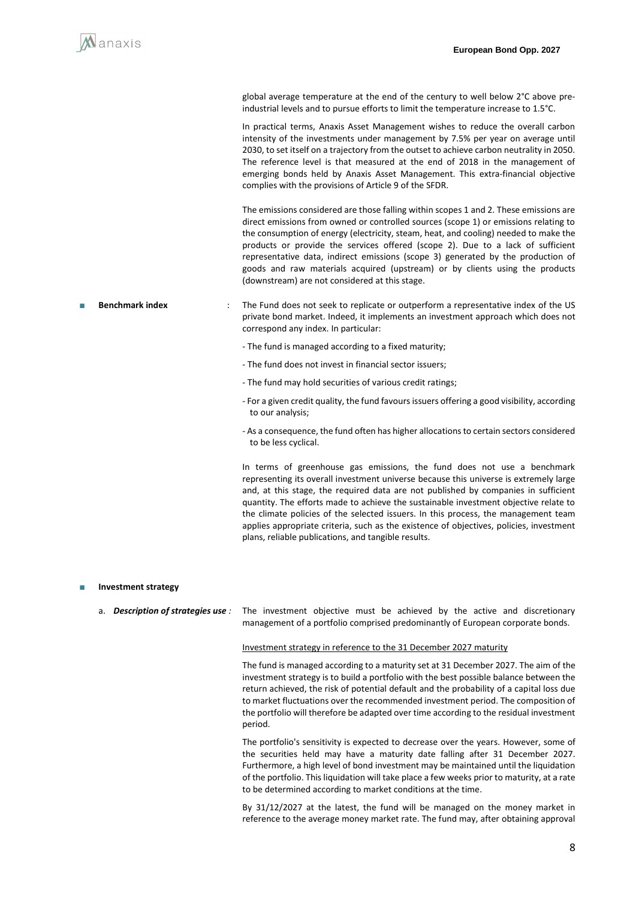global average temperature at the end of the century to well below 2°C above pre‐ industrial levels and to pursue efforts to limit the temperature increase to 1.5°C.

In practical terms, Anaxis Asset Management wishes to reduce the overall carbon intensity of the investments under management by 7.5% per year on average until 2030, to set itself on a trajectory from the outset to achieve carbon neutrality in 2050. The reference level is that measured at the end of 2018 in the management of emerging bonds held by Anaxis Asset Management. This extra-financial objective complies with the provisions of Article 9 of the SFDR.

The emissions considered are those falling within scopes 1 and 2. These emissions are direct emissions from owned or controlled sources (scope 1) or emissions relating to the consumption of energy (electricity, steam, heat, and cooling) needed to make the products or provide the services offered (scope 2). Due to a lack of sufficient representative data, indirect emissions (scope 3) generated by the production of goods and raw materials acquired (upstream) or by clients using the products (downstream) are not considered at this stage.

- Benchmark index : The Fund does not seek to replicate or outperform a representative index of the US private bond market. Indeed, it implements an investment approach which does not correspond any index. In particular:
	- The fund is managed according to a fixed maturity;
	- The fund does not invest in financial sector issuers;
	- The fund may hold securities of various credit ratings;
	- For a given credit quality, the fund favours issuers offering a good visibility, according to our analysis;
	- As a consequence, the fund often has higher allocations to certain sectors considered to be less cyclical.

In terms of greenhouse gas emissions, the fund does not use a benchmark representing its overall investment universe because this universe is extremely large and, at this stage, the required data are not published by companies in sufficient quantity. The efforts made to achieve the sustainable investment objective relate to the climate policies of the selected issuers. In this process, the management team applies appropriate criteria, such as the existence of objectives, policies, investment plans, reliable publications, and tangible results.

#### **Investment strategy**

a. *Description of strategies use :* The investment objective must be achieved by the active and discretionary management of a portfolio comprised predominantly of European corporate bonds.

#### Investment strategy in reference to the 31 December 2027 maturity

The fund is managed according to a maturity set at 31 December 2027. The aim of the investment strategy is to build a portfolio with the best possible balance between the return achieved, the risk of potential default and the probability of a capital loss due to market fluctuations over the recommended investment period. The composition of the portfolio will therefore be adapted over time according to the residual investment period.

The portfolio's sensitivity is expected to decrease over the years. However, some of the securities held may have a maturity date falling after 31 December 2027. Furthermore, a high level of bond investment may be maintained until the liquidation of the portfolio. This liquidation will take place a few weeks prior to maturity, at a rate to be determined according to market conditions at the time.

By 31/12/2027 at the latest, the fund will be managed on the money market in reference to the average money market rate. The fund may, after obtaining approval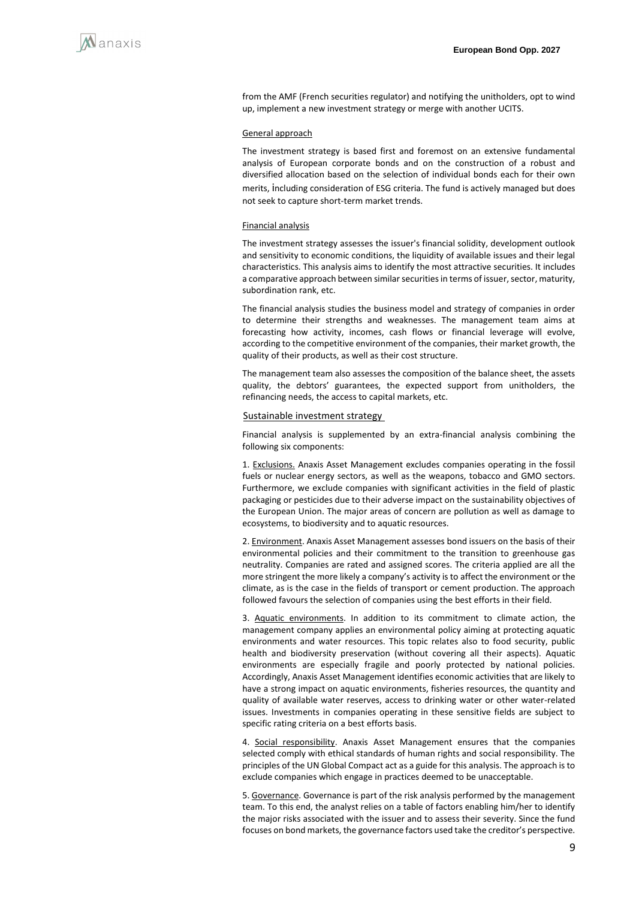from the AMF (French securities regulator) and notifying the unitholders, opt to wind up, implement a new investment strategy or merge with another UCITS.

#### General approach

The investment strategy is based first and foremost on an extensive fundamental analysis of European corporate bonds and on the construction of a robust and diversified allocation based on the selection of individual bonds each for their own merits, including consideration of ESG criteria. The fund is actively managed but does not seek to capture short-term market trends.

#### Financial analysis

The investment strategy assesses the issuer's financial solidity, development outlook and sensitivity to economic conditions, the liquidity of available issues and their legal characteristics. This analysis aims to identify the most attractive securities. It includes a comparative approach between similar securities in terms of issuer, sector, maturity, subordination rank, etc.

The financial analysis studies the business model and strategy of companies in order to determine their strengths and weaknesses. The management team aims at forecasting how activity, incomes, cash flows or financial leverage will evolve, according to the competitive environment of the companies, their market growth, the quality of their products, as well as their cost structure.

The management team also assesses the composition of the balance sheet, the assets quality, the debtors' guarantees, the expected support from unitholders, the refinancing needs, the access to capital markets, etc.

#### Sustainable investment strategy

Financial analysis is supplemented by an extra-financial analysis combining the following six components:

1. Exclusions. Anaxis Asset Management excludes companies operating in the fossil fuels or nuclear energy sectors, as well as the weapons, tobacco and GMO sectors. Furthermore, we exclude companies with significant activities in the field of plastic packaging or pesticides due to their adverse impact on the sustainability objectives of the European Union. The major areas of concern are pollution as well as damage to ecosystems, to biodiversity and to aquatic resources.

2. Environment. Anaxis Asset Management assesses bond issuers on the basis of their environmental policies and their commitment to the transition to greenhouse gas neutrality. Companies are rated and assigned scores. The criteria applied are all the more stringent the more likely a company's activity is to affect the environment or the climate, as is the case in the fields of transport or cement production. The approach followed favours the selection of companies using the best efforts in their field.

3. Aquatic environments. In addition to its commitment to climate action, the management company applies an environmental policy aiming at protecting aquatic environments and water resources. This topic relates also to food security, public health and biodiversity preservation (without covering all their aspects). Aquatic environments are especially fragile and poorly protected by national policies. Accordingly, Anaxis Asset Management identifies economic activities that are likely to have a strong impact on aquatic environments, fisheries resources, the quantity and quality of available water reserves, access to drinking water or other water-related issues. Investments in companies operating in these sensitive fields are subject to specific rating criteria on a best efforts basis.

4. Social responsibility. Anaxis Asset Management ensures that the companies selected comply with ethical standards of human rights and social responsibility. The principles of the UN Global Compact act as a guide for this analysis. The approach is to exclude companies which engage in practices deemed to be unacceptable.

5. Governance. Governance is part of the risk analysis performed by the management team. To this end, the analyst relies on a table of factors enabling him/her to identify the major risks associated with the issuer and to assess their severity. Since the fund focuses on bond markets, the governance factors used take the creditor's perspective.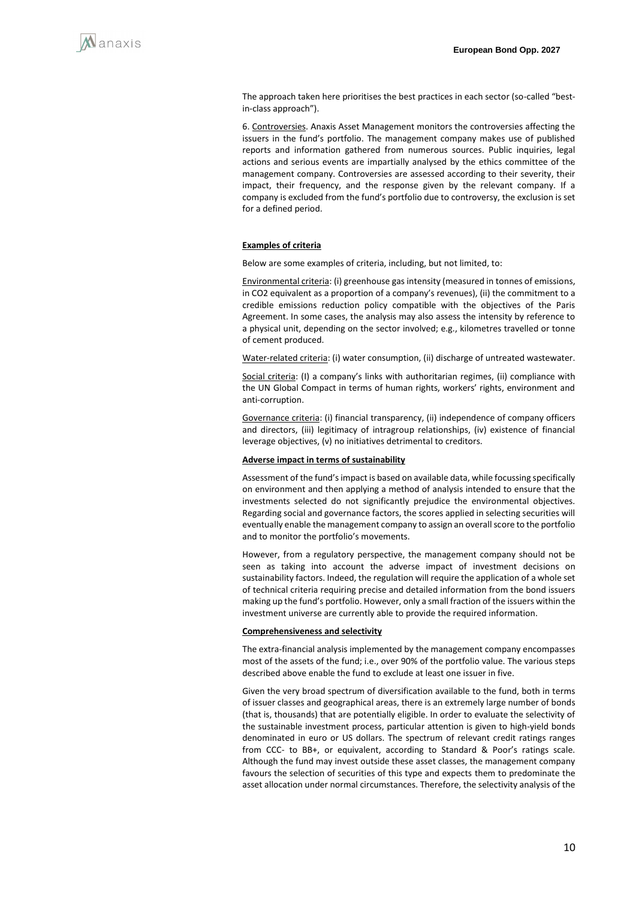

The approach taken here prioritises the best practices in each sector (so-called "bestin-class approach").

6. Controversies. Anaxis Asset Management monitors the controversies affecting the issuers in the fund's portfolio. The management company makes use of published reports and information gathered from numerous sources. Public inquiries, legal actions and serious events are impartially analysed by the ethics committee of the management company. Controversies are assessed according to their severity, their impact, their frequency, and the response given by the relevant company. If a company is excluded from the fund's portfolio due to controversy, the exclusion is set for a defined period.

#### **Examples of criteria**

Below are some examples of criteria, including, but not limited, to:

Environmental criteria: (i) greenhouse gas intensity (measured in tonnes of emissions, in CO2 equivalent as a proportion of a company's revenues), (ii) the commitment to a credible emissions reduction policy compatible with the objectives of the Paris Agreement. In some cases, the analysis may also assess the intensity by reference to a physical unit, depending on the sector involved; e.g., kilometres travelled or tonne of cement produced.

Water-related criteria: (i) water consumption, (ii) discharge of untreated wastewater.

Social criteria: (I) a company's links with authoritarian regimes, (ii) compliance with the UN Global Compact in terms of human rights, workers' rights, environment and anti-corruption.

Governance criteria: (i) financial transparency, (ii) independence of company officers and directors, (iii) legitimacy of intragroup relationships, (iv) existence of financial leverage objectives, (v) no initiatives detrimental to creditors.

#### **Adverse impact in terms of sustainability**

Assessment of the fund's impact is based on available data, while focussing specifically on environment and then applying a method of analysis intended to ensure that the investments selected do not significantly prejudice the environmental objectives. Regarding social and governance factors, the scores applied in selecting securities will eventually enable the management company to assign an overall score to the portfolio and to monitor the portfolio's movements.

However, from a regulatory perspective, the management company should not be seen as taking into account the adverse impact of investment decisions on sustainability factors. Indeed, the regulation will require the application of a whole set of technical criteria requiring precise and detailed information from the bond issuers making up the fund's portfolio. However, only a small fraction of the issuers within the investment universe are currently able to provide the required information.

#### **Comprehensiveness and selectivity**

The extra-financial analysis implemented by the management company encompasses most of the assets of the fund; i.e., over 90% of the portfolio value. The various steps described above enable the fund to exclude at least one issuer in five.

Given the very broad spectrum of diversification available to the fund, both in terms of issuer classes and geographical areas, there is an extremely large number of bonds (that is, thousands) that are potentially eligible. In order to evaluate the selectivity of the sustainable investment process, particular attention is given to high-yield bonds denominated in euro or US dollars. The spectrum of relevant credit ratings ranges from CCC- to BB+, or equivalent, according to Standard & Poor's ratings scale. Although the fund may invest outside these asset classes, the management company favours the selection of securities of this type and expects them to predominate the asset allocation under normal circumstances. Therefore, the selectivity analysis of the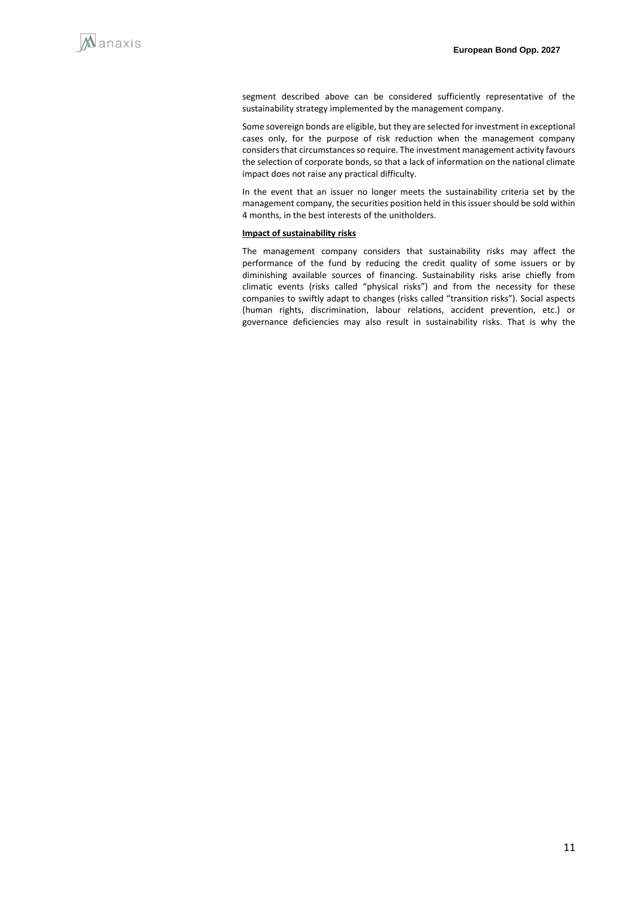

segment described above can be considered sufficiently representative of the sustainability strategy implemented by the management company.

Some sovereign bonds are eligible, but they are selected for investment in exceptional cases only, for the purpose of risk reduction when the management company considers that circumstances so require. The investment management activity favours the selection of corporate bonds, so that a lack of information on the national climate impact does not raise any practical difficulty.

In the event that an issuer no longer meets the sustainability criteria set by the management company, the securities position held in this issuer should be sold within 4 months, in the best interests of the unitholders.

#### **Impact of sustainability risks**

The management company considers that sustainability risks may affect the performance of the fund by reducing the credit quality of some issuers or by diminishing available sources of financing. Sustainability risks arise chiefly from climatic events (risks called "physical risks") and from the necessity for these companies to swiftly adapt to changes (risks called "transition risks"). Social aspects (human rights, discrimination, labour relations, accident prevention, etc.) or governance deficiencies may also result in sustainability risks. That is why the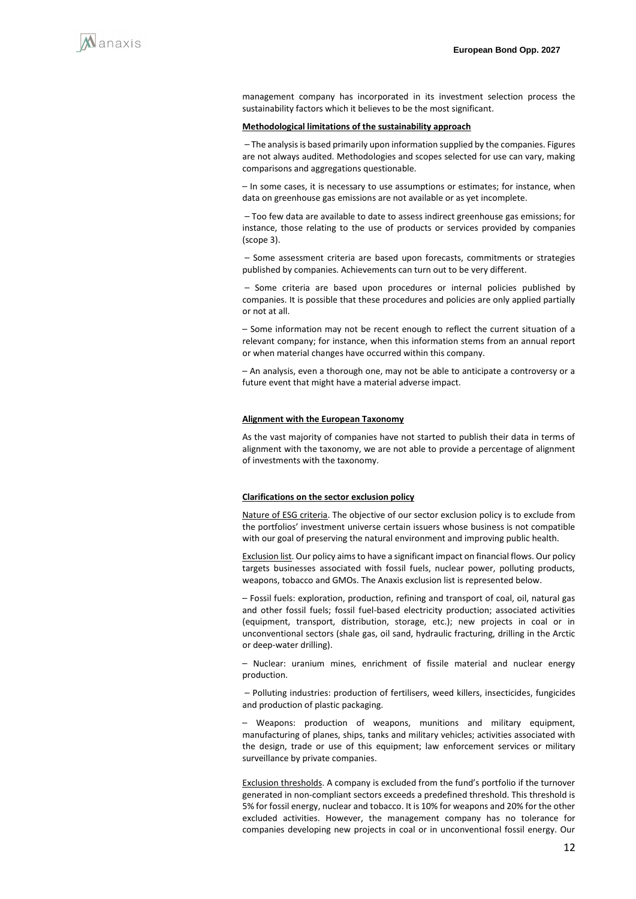management company has incorporated in its investment selection process the sustainability factors which it believes to be the most significant.

#### **Methodological limitations of the sustainability approach**

- The analysis is based primarily upon information supplied by the companies. Figures are not always audited. Methodologies and scopes selected for use can vary, making comparisons and aggregations questionable.

 $-$  In some cases, it is necessary to use assumptions or estimates; for instance, when data on greenhouse gas emissions are not available or as yet incomplete.

- Too few data are available to date to assess indirect greenhouse gas emissions; for instance, those relating to the use of products or services provided by companies (scope 3).

- Some assessment criteria are based upon forecasts, commitments or strategies published by companies. Achievements can turn out to be very different.

- Some criteria are based upon procedures or internal policies published by companies. It is possible that these procedures and policies are only applied partially or not at all.

- Some information may not be recent enough to reflect the current situation of a relevant company; for instance, when this information stems from an annual report or when material changes have occurred within this company.

- An analysis, even a thorough one, may not be able to anticipate a controversy or a future event that might have a material adverse impact.

#### **Alignment with the European Taxonomy**

As the vast majority of companies have not started to publish their data in terms of alignment with the taxonomy, we are not able to provide a percentage of alignment of investments with the taxonomy.

#### **Clarifications on the sector exclusion policy**

Nature of ESG criteria. The objective of our sector exclusion policy is to exclude from the portfolios' investment universe certain issuers whose business is not compatible with our goal of preserving the natural environment and improving public health.

Exclusion list. Our policy aims to have a significant impact on financial flows. Our policy targets businesses associated with fossil fuels, nuclear power, polluting products, weapons, tobacco and GMOs. The Anaxis exclusion list is represented below.

 $-$  Fossil fuels: exploration, production, refining and transport of coal, oil, natural gas and other fossil fuels; fossil fuel-based electricity production; associated activities (equipment, transport, distribution, storage, etc.); new projects in coal or in unconventional sectors (shale gas, oil sand, hydraulic fracturing, drilling in the Arctic or deep-water drilling).

- Nuclear: uranium mines, enrichment of fissile material and nuclear energy production.

- Polluting industries: production of fertilisers, weed killers, insecticides, fungicides and production of plastic packaging.

⎯ Weapons: production of weapons, munitions and military equipment, manufacturing of planes, ships, tanks and military vehicles; activities associated with the design, trade or use of this equipment; law enforcement services or military surveillance by private companies.

Exclusion thresholds. A company is excluded from the fund's portfolio if the turnover generated in non-compliant sectors exceeds a predefined threshold. This threshold is 5% for fossil energy, nuclear and tobacco. It is 10% for weapons and 20% for the other excluded activities. However, the management company has no tolerance for companies developing new projects in coal or in unconventional fossil energy. Our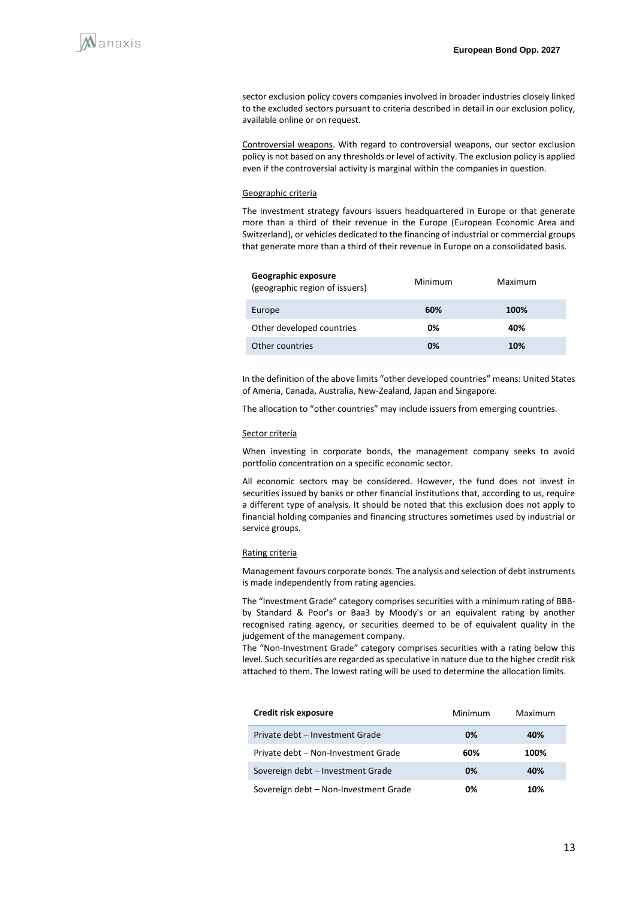sector exclusion policy covers companies involved in broader industries closely linked to the excluded sectors pursuant to criteria described in detail in our exclusion policy, available online or on request.

Controversial weapons. With regard to controversial weapons, our sector exclusion policy is not based on any thresholds or level of activity. The exclusion policy is applied even if the controversial activity is marginal within the companies in question.

#### Geographic criteria

The investment strategy favours issuers headquartered in Europe or that generate more than a third of their revenue in the Europe (European Economic Area and Switzerland), or vehicles dedicated to the financing of industrial or commercial groups that generate more than a third of their revenue in Europe on a consolidated basis.

| Geographic exposure<br>(geographic region of issuers) | Minimum | Maximum |  |
|-------------------------------------------------------|---------|---------|--|
| Europe                                                | 60%     | 100%    |  |
| Other developed countries                             | 0%      | 40%     |  |
| Other countries                                       | 0%      | 10%     |  |

In the definition of the above limits "other developed countries" means: United States of Ameria, Canada, Australia, New-Zealand, Japan and Singapore.

The allocation to "other countries" may include issuers from emerging countries.

#### Sector criteria

When investing in corporate bonds, the management company seeks to avoid portfolio concentration on a specific economic sector.

All economic sectors may be considered. However, the fund does not invest in securities issued by banks or other financial institutions that, according to us, require a different type of analysis. It should be noted that this exclusion does not apply to financial holding companies and financing structures sometimes used by industrial or service groups.

#### Rating criteria

Management favours corporate bonds. The analysis and selection of debt instruments is made independently from rating agencies.

The "Investment Grade" category comprises securities with a minimum rating of BBBby Standard & Poor's or Baa3 by Moody's or an equivalent rating by another recognised rating agency, or securities deemed to be of equivalent quality in the judgement of the management company.

The "Non-Investment Grade" category comprises securities with a rating below this level. Such securities are regarded as speculative in nature due to the higher credit risk attached to them. The lowest rating will be used to determine the allocation limits.

| Credit risk exposure                  | Minimum | Maximum |  |
|---------------------------------------|---------|---------|--|
| Private debt - Investment Grade       | 0%      | 40%     |  |
| Private debt - Non-Investment Grade   | 60%     | 100%    |  |
| Sovereign debt - Investment Grade     | 0%      | 40%     |  |
| Sovereign debt - Non-Investment Grade | 0%      | 1በ%     |  |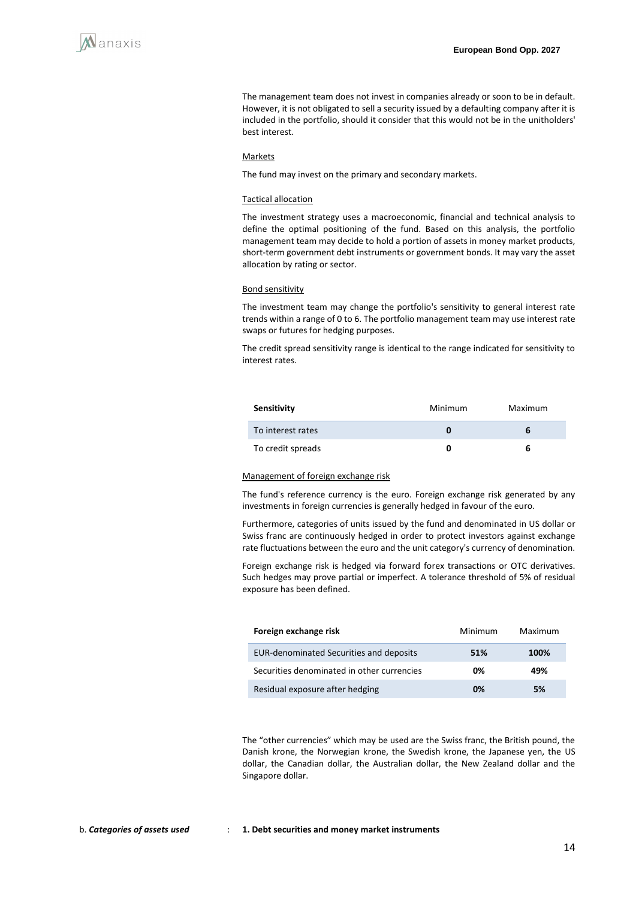The management team does not invest in companies already or soon to be in default. However, it is not obligated to sell a security issued by a defaulting company after it is included in the portfolio, should it consider that this would not be in the unitholders' best interest.

#### **Markets**

The fund may invest on the primary and secondary markets.

#### Tactical allocation

The investment strategy uses a macroeconomic, financial and technical analysis to define the optimal positioning of the fund. Based on this analysis, the portfolio management team may decide to hold a portion of assets in money market products, short-term government debt instruments or government bonds. It may vary the asset allocation by rating or sector.

#### Bond sensitivity

The investment team may change the portfolio's sensitivity to general interest rate trends within a range of 0 to 6. The portfolio management team may use interest rate swaps or futures for hedging purposes.

The credit spread sensitivity range is identical to the range indicated for sensitivity to interest rates.

| Sensitivity       | Minimum | Maximum |
|-------------------|---------|---------|
| To interest rates |         |         |
| To credit spreads |         | 6       |

#### Management of foreign exchange risk

The fund's reference currency is the euro. Foreign exchange risk generated by any investments in foreign currencies is generally hedged in favour of the euro.

Furthermore, categories of units issued by the fund and denominated in US dollar or Swiss franc are continuously hedged in order to protect investors against exchange rate fluctuations between the euro and the unit category's currency of denomination.

Foreign exchange risk is hedged via forward forex transactions or OTC derivatives. Such hedges may prove partial or imperfect. A tolerance threshold of 5% of residual exposure has been defined.

| Foreign exchange risk                          | Minimum | Maximum |
|------------------------------------------------|---------|---------|
| <b>EUR-denominated Securities and deposits</b> | 51%     | 100%    |
| Securities denominated in other currencies     | 0%      | 49%     |
| Residual exposure after hedging                | 0%      | 5%      |

The "other currencies" which may be used are the Swiss franc, the British pound, the Danish krone, the Norwegian krone, the Swedish krone, the Japanese yen, the US dollar, the Canadian dollar, the Australian dollar, the New Zealand dollar and the Singapore dollar.

#### b. *Categories of assets used* : **1. Debt securities and money market instruments**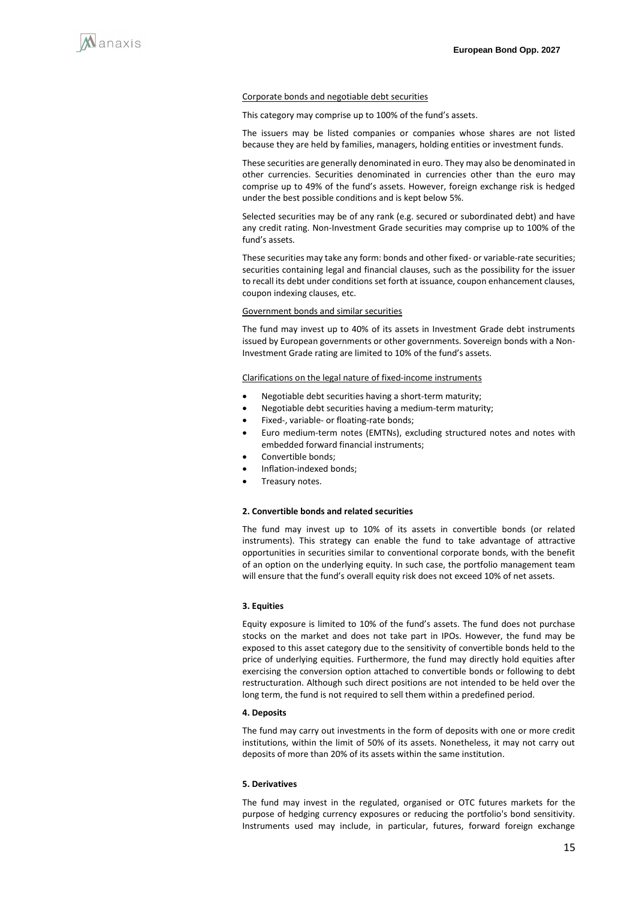

#### Corporate bonds and negotiable debt securities

This category may comprise up to 100% of the fund's assets.

The issuers may be listed companies or companies whose shares are not listed because they are held by families, managers, holding entities or investment funds.

These securities are generally denominated in euro. They may also be denominated in other currencies. Securities denominated in currencies other than the euro may comprise up to 49% of the fund's assets. However, foreign exchange risk is hedged under the best possible conditions and is kept below 5%.

Selected securities may be of any rank (e.g. secured or subordinated debt) and have any credit rating. Non-Investment Grade securities may comprise up to 100% of the fund's assets.

These securities may take any form: bonds and other fixed- or variable-rate securities; securities containing legal and financial clauses, such as the possibility for the issuer to recall its debt under conditions set forth at issuance, coupon enhancement clauses, coupon indexing clauses, etc.

#### Government bonds and similar securities

The fund may invest up to 40% of its assets in Investment Grade debt instruments issued by European governments or other governments. Sovereign bonds with a Non-Investment Grade rating are limited to 10% of the fund's assets.

#### Clarifications on the legal nature of fixed-income instruments

- Negotiable debt securities having a short-term maturity;
- Negotiable debt securities having a medium-term maturity;
- Fixed-, variable- or floating-rate bonds;
- Euro medium-term notes (EMTNs), excluding structured notes and notes with embedded forward financial instruments;
- Convertible bonds;
- Inflation-indexed bonds;
- Treasury notes.

#### **2. Convertible bonds and related securities**

The fund may invest up to 10% of its assets in convertible bonds (or related instruments). This strategy can enable the fund to take advantage of attractive opportunities in securities similar to conventional corporate bonds, with the benefit of an option on the underlying equity. In such case, the portfolio management team will ensure that the fund's overall equity risk does not exceed 10% of net assets.

#### **3. Equities**

Equity exposure is limited to 10% of the fund's assets. The fund does not purchase stocks on the market and does not take part in IPOs. However, the fund may be exposed to this asset category due to the sensitivity of convertible bonds held to the price of underlying equities. Furthermore, the fund may directly hold equities after exercising the conversion option attached to convertible bonds or following to debt restructuration. Although such direct positions are not intended to be held over the long term, the fund is not required to sell them within a predefined period.

#### **4. Deposits**

The fund may carry out investments in the form of deposits with one or more credit institutions, within the limit of 50% of its assets. Nonetheless, it may not carry out deposits of more than 20% of its assets within the same institution.

#### **5. Derivatives**

The fund may invest in the regulated, organised or OTC futures markets for the purpose of hedging currency exposures or reducing the portfolio's bond sensitivity. Instruments used may include, in particular, futures, forward foreign exchange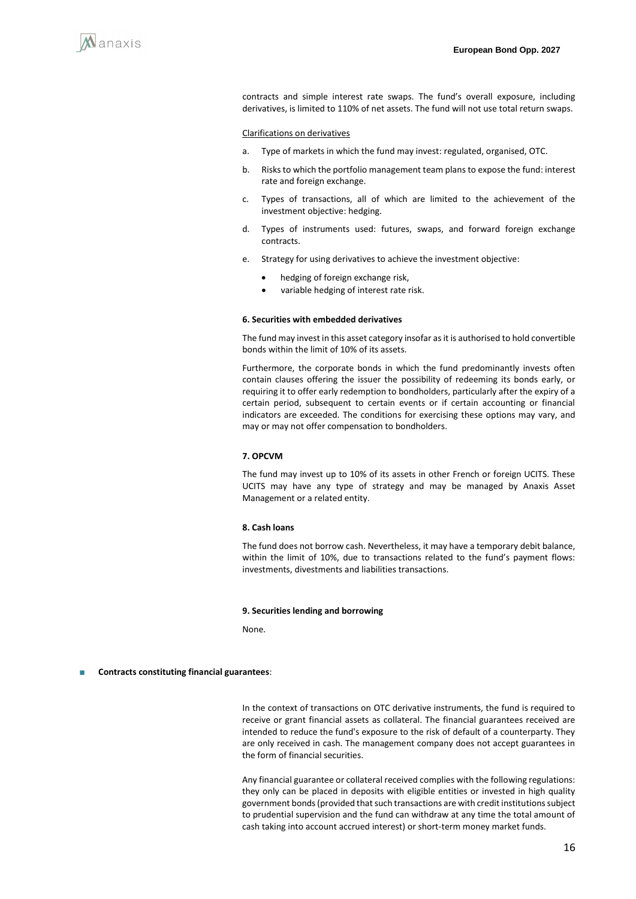

contracts and simple interest rate swaps. The fund's overall exposure, including derivatives, is limited to 110% of net assets. The fund will not use total return swaps.

#### Clarifications on derivatives

- a. Type of markets in which the fund may invest: regulated, organised, OTC.
- b. Risks to which the portfolio management team plans to expose the fund: interest rate and foreign exchange.
- c. Types of transactions, all of which are limited to the achievement of the investment objective: hedging.
- d. Types of instruments used: futures, swaps, and forward foreign exchange contracts.
- e. Strategy for using derivatives to achieve the investment objective:
	- hedging of foreign exchange risk,
	- variable hedging of interest rate risk.

#### **6. Securities with embedded derivatives**

The fund may invest in this asset category insofar as it is authorised to hold convertible bonds within the limit of 10% of its assets.

Furthermore, the corporate bonds in which the fund predominantly invests often contain clauses offering the issuer the possibility of redeeming its bonds early, or requiring it to offer early redemption to bondholders, particularly after the expiry of a certain period, subsequent to certain events or if certain accounting or financial indicators are exceeded. The conditions for exercising these options may vary, and may or may not offer compensation to bondholders.

#### **7. OPCVM**

The fund may invest up to 10% of its assets in other French or foreign UCITS. These UCITS may have any type of strategy and may be managed by Anaxis Asset Management or a related entity.

#### **8. Cash loans**

The fund does not borrow cash. Nevertheless, it may have a temporary debit balance, within the limit of 10%, due to transactions related to the fund's payment flows: investments, divestments and liabilities transactions.

#### **9. Securities lending and borrowing**

None.

#### **Contracts constituting financial guarantees:**

In the context of transactions on OTC derivative instruments, the fund is required to receive or grant financial assets as collateral. The financial guarantees received are intended to reduce the fund's exposure to the risk of default of a counterparty. They are only received in cash. The management company does not accept guarantees in the form of financial securities.

Any financial guarantee or collateral received complies with the following regulations: they only can be placed in deposits with eligible entities or invested in high quality government bonds (provided that such transactions are with credit institutions subject to prudential supervision and the fund can withdraw at any time the total amount of cash taking into account accrued interest) or short-term money market funds.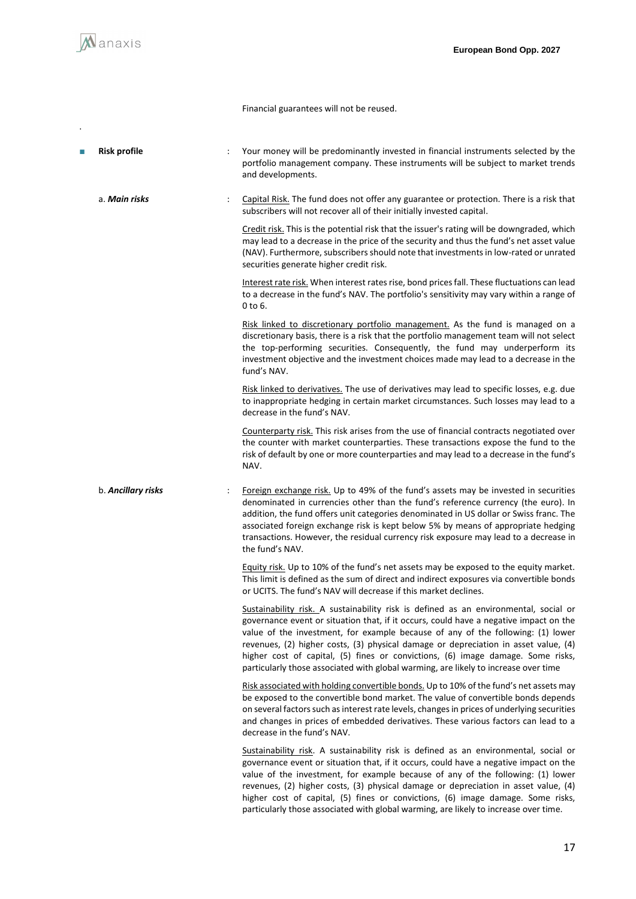

.

Financial guarantees will not be reused.

| <b>Risk profile</b> | $\ddot{\cdot}$ | Your money will be predominantly invested in financial instruments selected by the<br>portfolio management company. These instruments will be subject to market trends<br>and developments.                                                                                                                                                                                                                                                                                                                                        |
|---------------------|----------------|------------------------------------------------------------------------------------------------------------------------------------------------------------------------------------------------------------------------------------------------------------------------------------------------------------------------------------------------------------------------------------------------------------------------------------------------------------------------------------------------------------------------------------|
| a. Main risks       | $\ddot{\cdot}$ | Capital Risk. The fund does not offer any guarantee or protection. There is a risk that<br>subscribers will not recover all of their initially invested capital.                                                                                                                                                                                                                                                                                                                                                                   |
|                     |                | Credit risk. This is the potential risk that the issuer's rating will be downgraded, which<br>may lead to a decrease in the price of the security and thus the fund's net asset value<br>(NAV). Furthermore, subscribers should note that investments in low-rated or unrated<br>securities generate higher credit risk.                                                                                                                                                                                                           |
|                     |                | Interest rate risk. When interest rates rise, bond prices fall. These fluctuations can lead<br>to a decrease in the fund's NAV. The portfolio's sensitivity may vary within a range of<br>0 to 6.                                                                                                                                                                                                                                                                                                                                  |
|                     |                | Risk linked to discretionary portfolio management. As the fund is managed on a<br>discretionary basis, there is a risk that the portfolio management team will not select<br>the top-performing securities. Consequently, the fund may underperform its<br>investment objective and the investment choices made may lead to a decrease in the<br>fund's NAV.                                                                                                                                                                       |
|                     |                | Risk linked to derivatives. The use of derivatives may lead to specific losses, e.g. due<br>to inappropriate hedging in certain market circumstances. Such losses may lead to a<br>decrease in the fund's NAV.                                                                                                                                                                                                                                                                                                                     |
|                     |                | Counterparty risk. This risk arises from the use of financial contracts negotiated over<br>the counter with market counterparties. These transactions expose the fund to the<br>risk of default by one or more counterparties and may lead to a decrease in the fund's<br>NAV.                                                                                                                                                                                                                                                     |
| b. Ancillary risks  | ÷              | Foreign exchange risk. Up to 49% of the fund's assets may be invested in securities<br>denominated in currencies other than the fund's reference currency (the euro). In<br>addition, the fund offers unit categories denominated in US dollar or Swiss franc. The<br>associated foreign exchange risk is kept below 5% by means of appropriate hedging<br>transactions. However, the residual currency risk exposure may lead to a decrease in<br>the fund's NAV.                                                                 |
|                     |                | Equity risk. Up to 10% of the fund's net assets may be exposed to the equity market.<br>This limit is defined as the sum of direct and indirect exposures via convertible bonds<br>or UCITS. The fund's NAV will decrease if this market declines.                                                                                                                                                                                                                                                                                 |
|                     |                | Sustainability risk. A sustainability risk is defined as an environmental, social or<br>governance event or situation that, if it occurs, could have a negative impact on the<br>value of the investment, for example because of any of the following: (1) lower<br>revenues, (2) higher costs, (3) physical damage or depreciation in asset value, (4)<br>higher cost of capital, (5) fines or convictions, (6) image damage. Some risks,<br>particularly those associated with global warming, are likely to increase over time  |
|                     |                | Risk associated with holding convertible bonds. Up to 10% of the fund's net assets may<br>be exposed to the convertible bond market. The value of convertible bonds depends<br>on several factors such as interest rate levels, changes in prices of underlying securities<br>and changes in prices of embedded derivatives. These various factors can lead to a<br>decrease in the fund's NAV.                                                                                                                                    |
|                     |                | Sustainability risk. A sustainability risk is defined as an environmental, social or<br>governance event or situation that, if it occurs, could have a negative impact on the<br>value of the investment, for example because of any of the following: (1) lower<br>revenues, (2) higher costs, (3) physical damage or depreciation in asset value, (4)<br>higher cost of capital, (5) fines or convictions, (6) image damage. Some risks,<br>particularly those associated with global warming, are likely to increase over time. |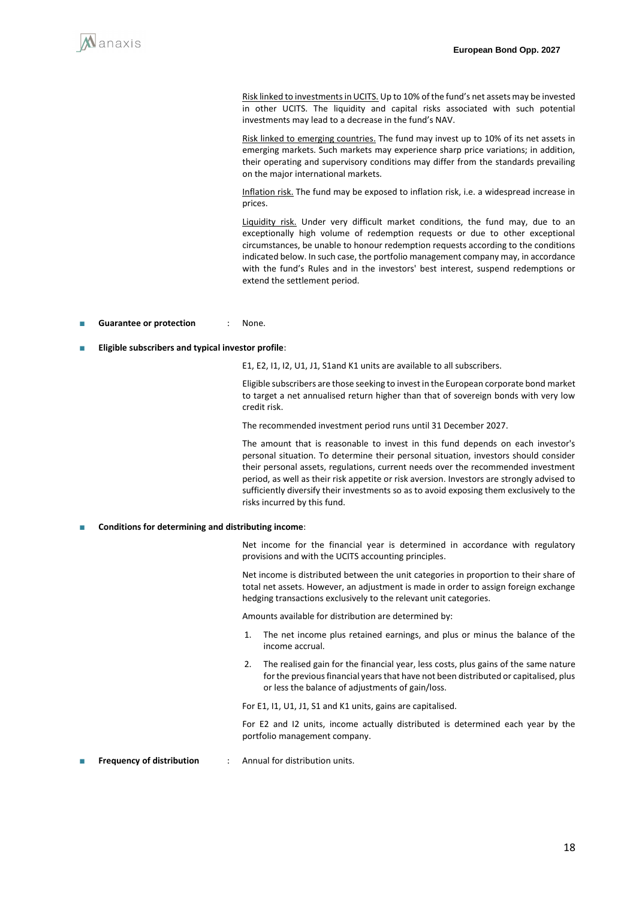

Risk linked to investments in UCITS. Up to 10% of the fund's net assets may be invested in other UCITS. The liquidity and capital risks associated with such potential investments may lead to a decrease in the fund's NAV.

Risk linked to emerging countries. The fund may invest up to 10% of its net assets in emerging markets. Such markets may experience sharp price variations; in addition, their operating and supervisory conditions may differ from the standards prevailing on the major international markets.

Inflation risk. The fund may be exposed to inflation risk, i.e. a widespread increase in prices.

Liquidity risk. Under very difficult market conditions, the fund may, due to an exceptionally high volume of redemption requests or due to other exceptional circumstances, be unable to honour redemption requests according to the conditions indicated below. In such case, the portfolio management company may, in accordance with the fund's Rules and in the investors' best interest, suspend redemptions or extend the settlement period.

- **Guarantee or protection** : None.
- **Eligible subscribers and typical investor profile:**

E1, E2, I1, I2, U1, J1, S1and K1 units are available to all subscribers.

Eligible subscribers are those seeking to invest in the European corporate bond market to target a net annualised return higher than that of sovereign bonds with very low credit risk.

The recommended investment period runs until 31 December 2027.

The amount that is reasonable to invest in this fund depends on each investor's personal situation. To determine their personal situation, investors should consider their personal assets, regulations, current needs over the recommended investment period, as well as their risk appetite or risk aversion. Investors are strongly advised to sufficiently diversify their investments so as to avoid exposing them exclusively to the risks incurred by this fund.

■ **Conditions for determining and distributing income**:

Net income for the financial year is determined in accordance with regulatory provisions and with the UCITS accounting principles.

Net income is distributed between the unit categories in proportion to their share of total net assets. However, an adjustment is made in order to assign foreign exchange hedging transactions exclusively to the relevant unit categories.

Amounts available for distribution are determined by:

- 1. The net income plus retained earnings, and plus or minus the balance of the income accrual.
- 2. The realised gain for the financial year, less costs, plus gains of the same nature for the previous financial years that have not been distributed or capitalised, plus or less the balance of adjustments of gain/loss.

For E1, I1, U1, J1, S1 and K1 units, gains are capitalised.

For E2 and I2 units, income actually distributed is determined each year by the portfolio management company.

**Frequency of distribution** : Annual for distribution units.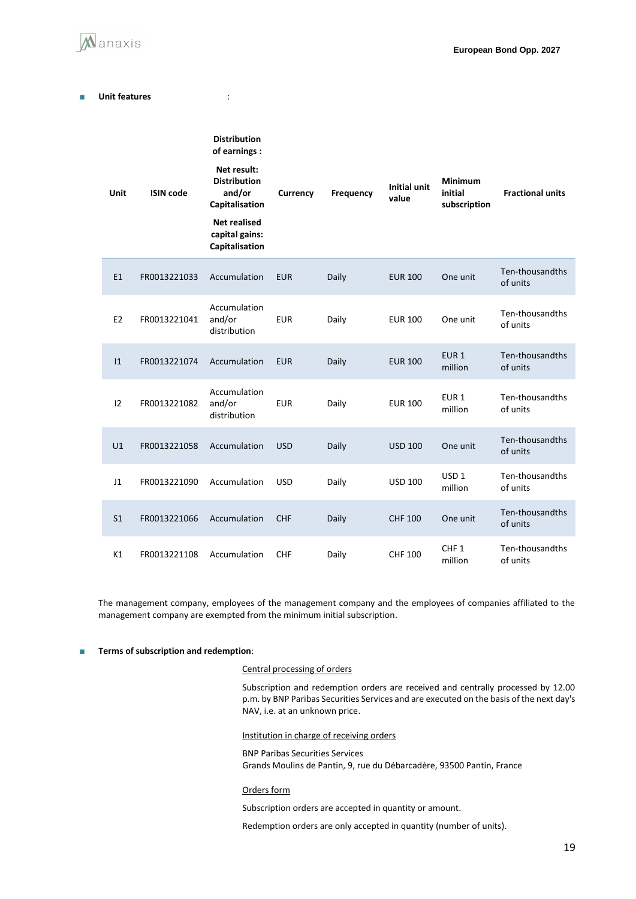

#### ■ Unit features : the set of the set of the set of the set of the set of the set of the set of the set of the set of the set of the set of the set of the set of the set of the set of the set of the set of the set of the s

| Unit           | <b>ISIN code</b> | <b>Distribution</b><br>of earnings :<br>Net result:<br><b>Distribution</b><br>and/or<br>Capitalisation<br><b>Net realised</b><br>capital gains:<br>Capitalisation | Currency   | <b>Frequency</b> | <b>Initial unit</b><br>value | <b>Minimum</b><br>initial<br>subscription | <b>Fractional units</b>     |
|----------------|------------------|-------------------------------------------------------------------------------------------------------------------------------------------------------------------|------------|------------------|------------------------------|-------------------------------------------|-----------------------------|
| E1             | FR0013221033     | Accumulation                                                                                                                                                      | <b>EUR</b> | Daily            | <b>EUR 100</b>               | One unit                                  | Ten-thousandths<br>of units |
| E <sub>2</sub> | FR0013221041     | Accumulation<br>and/or<br>distribution                                                                                                                            | <b>EUR</b> | Daily            | <b>EUR 100</b>               | One unit                                  | Ten-thousandths<br>of units |
| 1              | FR0013221074     | Accumulation                                                                                                                                                      | <b>EUR</b> | Daily            | <b>EUR 100</b>               | EUR <sub>1</sub><br>million               | Ten-thousandths<br>of units |
| 12             | FR0013221082     | Accumulation<br>and/or<br>distribution                                                                                                                            | <b>EUR</b> | Daily            | <b>EUR 100</b>               | EUR <sub>1</sub><br>million               | Ten-thousandths<br>of units |
| U1             | FR0013221058     | Accumulation                                                                                                                                                      | <b>USD</b> | Daily            | <b>USD 100</b>               | One unit                                  | Ten-thousandths<br>of units |
| J1             | FR0013221090     | Accumulation                                                                                                                                                      | <b>USD</b> | Daily            | <b>USD 100</b>               | USD <sub>1</sub><br>million               | Ten-thousandths<br>of units |
| S <sub>1</sub> | FR0013221066     | Accumulation                                                                                                                                                      | <b>CHF</b> | Daily            | <b>CHF 100</b>               | One unit                                  | Ten-thousandths<br>of units |
| K1             | FR0013221108     | Accumulation                                                                                                                                                      | <b>CHF</b> | Daily            | CHF 100                      | CHF <sub>1</sub><br>million               | Ten-thousandths<br>of units |

The management company, employees of the management company and the employees of companies affiliated to the management company are exempted from the minimum initial subscription.

#### ■ **Terms of subscription and redemption**:

#### Central processing of orders

Subscription and redemption orders are received and centrally processed by 12.00 p.m. by BNP Paribas Securities Services and are executed on the basis of the next day's NAV, i.e. at an unknown price.

#### Institution in charge of receiving orders

BNP Paribas Securities Services Grands Moulins de Pantin, 9, rue du Débarcadère, 93500 Pantin, France

#### Orders form

Subscription orders are accepted in quantity or amount.

Redemption orders are only accepted in quantity (number of units).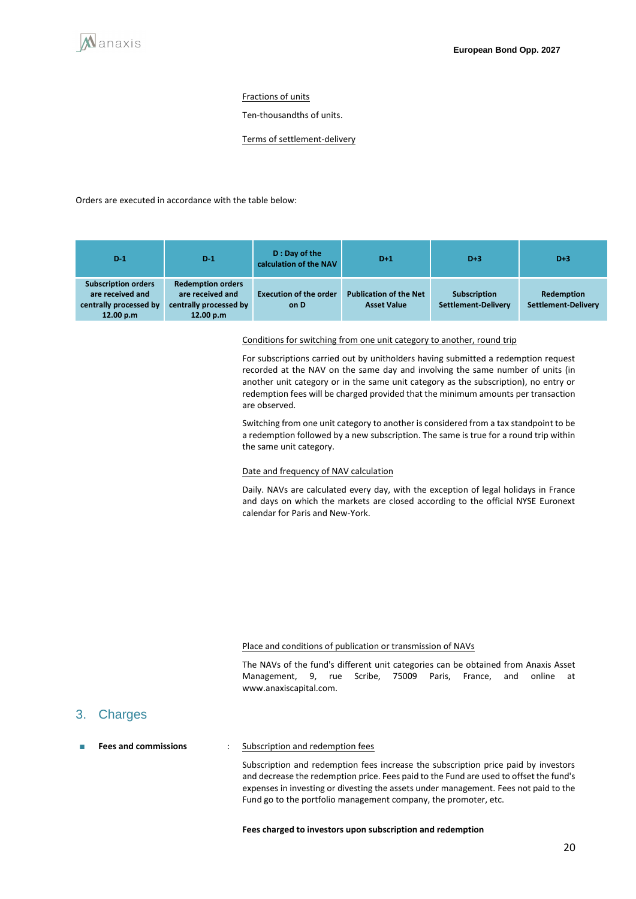#### Fractions of units

Ten-thousandths of units.

Terms of settlement-delivery

Orders are executed in accordance with the table below:

| $D-1$                                                                                 | $D-1$                                                                               | D: Day of the<br>calculation of the NAV | $D+1$                                               | $D+3$                               | $D+3$                                    |
|---------------------------------------------------------------------------------------|-------------------------------------------------------------------------------------|-----------------------------------------|-----------------------------------------------------|-------------------------------------|------------------------------------------|
| <b>Subscription orders</b><br>are received and<br>centrally processed by<br>12.00 p.m | <b>Redemption orders</b><br>are received and<br>centrally processed by<br>12.00 p.m | <b>Execution of the order</b><br>on D   | <b>Publication of the Net</b><br><b>Asset Value</b> | Subscription<br>Settlement-Delivery | Redemption<br><b>Settlement-Delivery</b> |

Conditions for switching from one unit category to another, round trip

For subscriptions carried out by unitholders having submitted a redemption request recorded at the NAV on the same day and involving the same number of units (in another unit category or in the same unit category as the subscription), no entry or redemption fees will be charged provided that the minimum amounts per transaction are observed.

Switching from one unit category to another is considered from a tax standpoint to be a redemption followed by a new subscription. The same is true for a round trip within the same unit category.

#### Date and frequency of NAV calculation

Daily. NAVs are calculated every day, with the exception of legal holidays in France and days on which the markets are closed according to the official NYSE Euronext calendar for Paris and New-York.

#### Place and conditions of publication or transmission of NAVs

The NAVs of the fund's different unit categories can be obtained from Anaxis Asset Management, 9, rue Scribe, 75009 Paris, France, and online at www.anaxiscapital.com.

### 3. Charges

#### **Fees and commissions** : Subscription and redemption fees

Subscription and redemption fees increase the subscription price paid by investors and decrease the redemption price. Fees paid to the Fund are used to offset the fund's expenses in investing or divesting the assets under management. Fees not paid to the Fund go to the portfolio management company, the promoter, etc.

#### **Fees charged to investors upon subscription and redemption**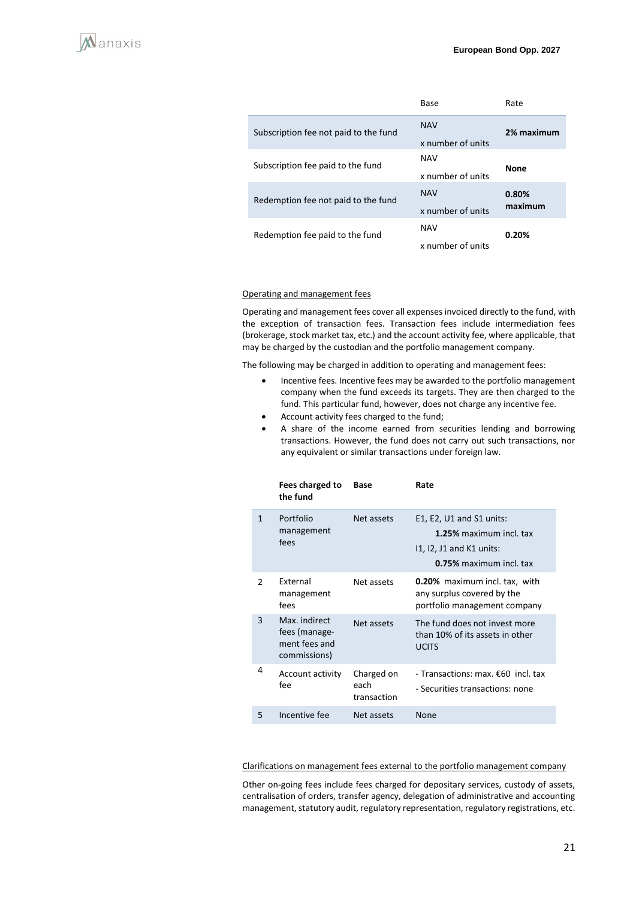|                                       | Base                            | Rate             |
|---------------------------------------|---------------------------------|------------------|
| Subscription fee not paid to the fund | <b>NAV</b><br>x number of units | 2% maximum       |
| Subscription fee paid to the fund     | <b>NAV</b><br>x number of units | <b>None</b>      |
| Redemption fee not paid to the fund   | <b>NAV</b><br>x number of units | 0.80%<br>maximum |
| Redemption fee paid to the fund       | <b>NAV</b><br>x number of units | 0.20%            |

#### Operating and management fees

Operating and management fees cover all expenses invoiced directly to the fund, with the exception of transaction fees. Transaction fees include intermediation fees (brokerage, stock market tax, etc.) and the account activity fee, where applicable, that may be charged by the custodian and the portfolio management company.

The following may be charged in addition to operating and management fees:

- Incentive fees. Incentive fees may be awarded to the portfolio management company when the fund exceeds its targets. They are then charged to the fund. This particular fund, however, does not charge any incentive fee.
- Account activity fees charged to the fund;
- A share of the income earned from securities lending and borrowing transactions. However, the fund does not carry out such transactions, nor any equivalent or similar transactions under foreign law.

|               | Fees charged to<br>the fund                                     | Base                              | Rate                                                                                                         |
|---------------|-----------------------------------------------------------------|-----------------------------------|--------------------------------------------------------------------------------------------------------------|
| $\mathbf{1}$  | Portfolio<br>management<br>fees                                 | Net assets                        | E1, E2, U1 and S1 units:<br>1.25% maximum incl. tax<br>$11, 12, 11$ and K1 units:<br>0.75% maximum incl. tax |
| $\mathcal{P}$ | External<br>management<br>fees                                  | Net assets                        | <b>0.20%</b> maximum incl. tax, with<br>any surplus covered by the<br>portfolio management company           |
| 3             | Max. indirect<br>fees (manage-<br>ment fees and<br>commissions) | Net assets                        | The fund does not invest more<br>than 10% of its assets in other<br><b>UCITS</b>                             |
| 4             | Account activity<br>fee                                         | Charged on<br>each<br>transaction | - Transactions: max. €60 incl. tax<br>- Securities transactions: none                                        |
| 5             | Incentive fee                                                   | Net assets                        | <b>None</b>                                                                                                  |
|               |                                                                 |                                   |                                                                                                              |

Clarifications on management fees external to the portfolio management company

Other on-going fees include fees charged for depositary services, custody of assets, centralisation of orders, transfer agency, delegation of administrative and accounting management, statutory audit, regulatory representation, regulatory registrations, etc.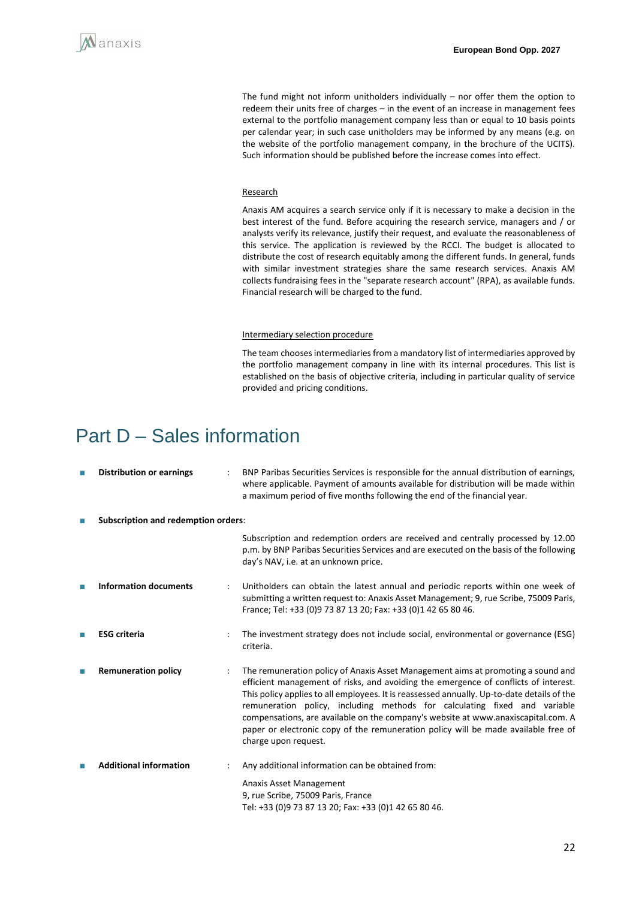

The fund might not inform unitholders individually – nor offer them the option to redeem their units free of charges – in the event of an increase in management fees external to the portfolio management company less than or equal to 10 basis points per calendar year; in such case unitholders may be informed by any means (e.g. on the website of the portfolio management company, in the brochure of the UCITS). Such information should be published before the increase comes into effect.

#### Research

Anaxis AM acquires a search service only if it is necessary to make a decision in the best interest of the fund. Before acquiring the research service, managers and / or analysts verify its relevance, justify their request, and evaluate the reasonableness of this service. The application is reviewed by the RCCI. The budget is allocated to distribute the cost of research equitably among the different funds. In general, funds with similar investment strategies share the same research services. Anaxis AM collects fundraising fees in the "separate research account" (RPA), as available funds. Financial research will be charged to the fund.

#### Intermediary selection procedure

The team chooses intermediaries from a mandatory list of intermediaries approved by the portfolio management company in line with its internal procedures. This list is established on the basis of objective criteria, including in particular quality of service provided and pricing conditions.

## <span id="page-21-0"></span>Part D – Sales information

| П | <b>Distribution or earnings</b> |                                            | BNP Paribas Securities Services is responsible for the annual distribution of earnings,<br>where applicable. Payment of amounts available for distribution will be made within<br>a maximum period of five months following the end of the financial year.                                                                                                                                                                                                                                                                                            |  |  |  |
|---|---------------------------------|--------------------------------------------|-------------------------------------------------------------------------------------------------------------------------------------------------------------------------------------------------------------------------------------------------------------------------------------------------------------------------------------------------------------------------------------------------------------------------------------------------------------------------------------------------------------------------------------------------------|--|--|--|
| П |                                 | <b>Subscription and redemption orders:</b> |                                                                                                                                                                                                                                                                                                                                                                                                                                                                                                                                                       |  |  |  |
|   |                                 |                                            | Subscription and redemption orders are received and centrally processed by 12.00<br>p.m. by BNP Paribas Securities Services and are executed on the basis of the following<br>day's NAV, i.e. at an unknown price.                                                                                                                                                                                                                                                                                                                                    |  |  |  |
|   | <b>Information documents</b>    |                                            | Unitholders can obtain the latest annual and periodic reports within one week of<br>submitting a written request to: Anaxis Asset Management; 9, rue Scribe, 75009 Paris,<br>France; Tel: +33 (0)9 73 87 13 20; Fax: +33 (0)1 42 65 80 46.                                                                                                                                                                                                                                                                                                            |  |  |  |
| ш | <b>ESG</b> criteria             |                                            | The investment strategy does not include social, environmental or governance (ESG)<br>criteria.                                                                                                                                                                                                                                                                                                                                                                                                                                                       |  |  |  |
| П | <b>Remuneration policy</b>      | $\ddot{\cdot}$                             | The remuneration policy of Anaxis Asset Management aims at promoting a sound and<br>efficient management of risks, and avoiding the emergence of conflicts of interest.<br>This policy applies to all employees. It is reassessed annually. Up-to-date details of the<br>remuneration policy, including methods for calculating fixed and variable<br>compensations, are available on the company's website at www.anaxiscapital.com. A<br>paper or electronic copy of the remuneration policy will be made available free of<br>charge upon request. |  |  |  |
| П | <b>Additional information</b>   |                                            | Any additional information can be obtained from:                                                                                                                                                                                                                                                                                                                                                                                                                                                                                                      |  |  |  |
|   |                                 |                                            | Anaxis Asset Management<br>9, rue Scribe, 75009 Paris, France<br>Tel: +33 (0)9 73 87 13 20; Fax: +33 (0)1 42 65 80 46.                                                                                                                                                                                                                                                                                                                                                                                                                                |  |  |  |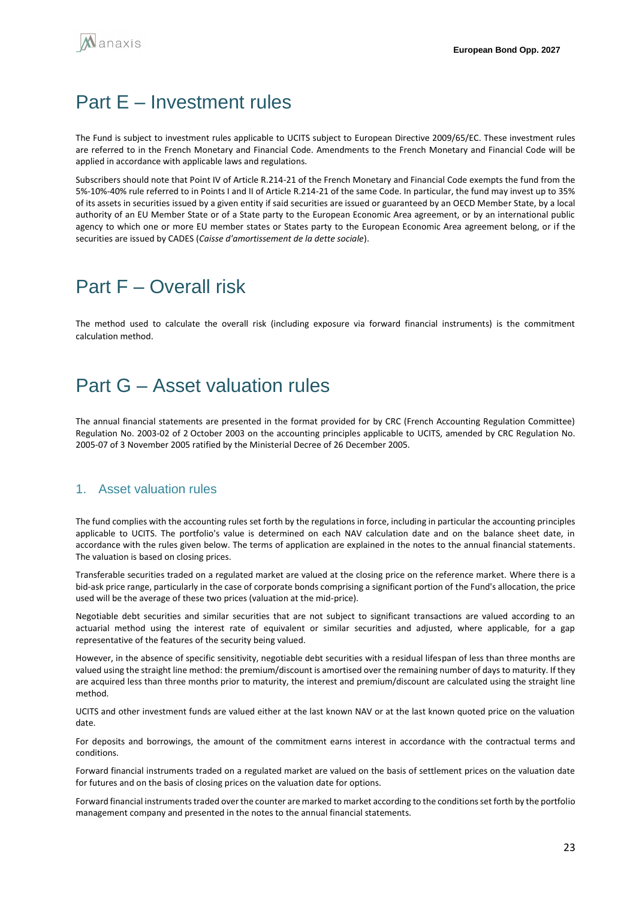## <span id="page-22-0"></span>Part E – Investment rules

The Fund is subject to investment rules applicable to UCITS subject to European Directive 2009/65/EC. These investment rules are referred to in the French Monetary and Financial Code. Amendments to the French Monetary and Financial Code will be applied in accordance with applicable laws and regulations.

Subscribers should note that Point IV of Article R.214-21 of the French Monetary and Financial Code exempts the fund from the 5%-10%-40% rule referred to in Points I and II of Article R.214-21 of the same Code. In particular, the fund may invest up to 35% of its assets in securities issued by a given entity if said securities are issued or guaranteed by an OECD Member State, by a local authority of an EU Member State or of a State party to the European Economic Area agreement, or by an international public agency to which one or more EU member states or States party to the European Economic Area agreement belong, or if the securities are issued by CADES (*Caisse d'amortissement de la dette sociale*).

## <span id="page-22-1"></span>Part F – Overall risk

The method used to calculate the overall risk (including exposure via forward financial instruments) is the commitment calculation method.

## <span id="page-22-2"></span>Part G – Asset valuation rules

The annual financial statements are presented in the format provided for by CRC (French Accounting Regulation Committee) Regulation No. 2003-02 of 2 October 2003 on the accounting principles applicable to UCITS, amended by CRC Regulation No. 2005-07 of 3 November 2005 ratified by the Ministerial Decree of 26 December 2005.

## 1. Asset valuation rules

The fund complies with the accounting rules set forth by the regulations in force, including in particular the accounting principles applicable to UCITS. The portfolio's value is determined on each NAV calculation date and on the balance sheet date, in accordance with the rules given below. The terms of application are explained in the notes to the annual financial statements. The valuation is based on closing prices.

Transferable securities traded on a regulated market are valued at the closing price on the reference market. Where there is a bid-ask price range, particularly in the case of corporate bonds comprising a significant portion of the Fund's allocation, the price used will be the average of these two prices (valuation at the mid-price).

Negotiable debt securities and similar securities that are not subject to significant transactions are valued according to an actuarial method using the interest rate of equivalent or similar securities and adjusted, where applicable, for a gap representative of the features of the security being valued.

However, in the absence of specific sensitivity, negotiable debt securities with a residual lifespan of less than three months are valued using the straight line method: the premium/discount is amortised over the remaining number of days to maturity. If they are acquired less than three months prior to maturity, the interest and premium/discount are calculated using the straight line method.

UCITS and other investment funds are valued either at the last known NAV or at the last known quoted price on the valuation date.

For deposits and borrowings, the amount of the commitment earns interest in accordance with the contractual terms and conditions.

Forward financial instruments traded on a regulated market are valued on the basis of settlement prices on the valuation date for futures and on the basis of closing prices on the valuation date for options.

Forward financial instruments traded over the counter are marked to market according to the conditions set forth by the portfolio management company and presented in the notes to the annual financial statements.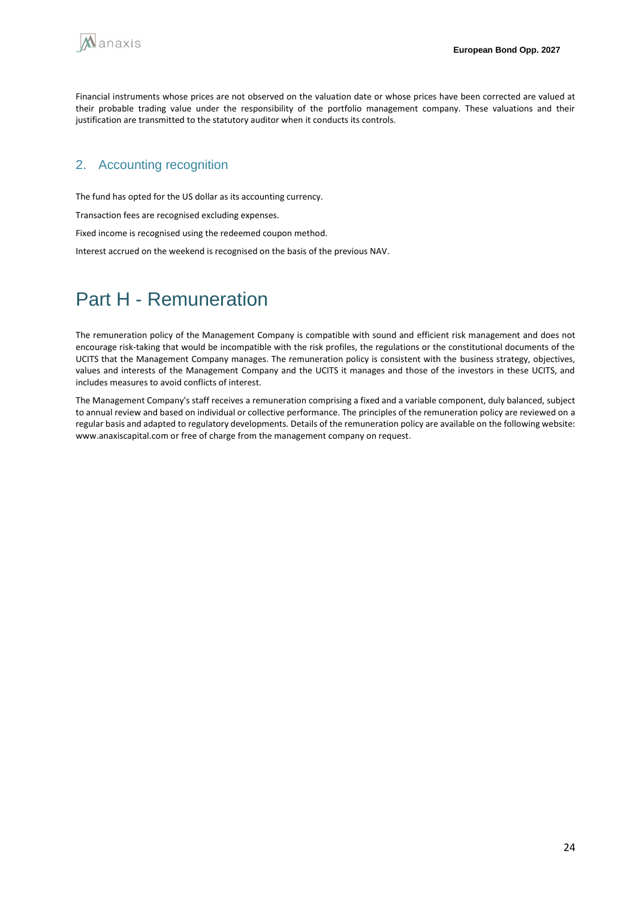

Financial instruments whose prices are not observed on the valuation date or whose prices have been corrected are valued at their probable trading value under the responsibility of the portfolio management company. These valuations and their justification are transmitted to the statutory auditor when it conducts its controls.

## 2. Accounting recognition

The fund has opted for the US dollar as its accounting currency.

Transaction fees are recognised excluding expenses.

Fixed income is recognised using the redeemed coupon method.

Interest accrued on the weekend is recognised on the basis of the previous NAV.

## <span id="page-23-0"></span>Part H - Remuneration

The remuneration policy of the Management Company is compatible with sound and efficient risk management and does not encourage risk-taking that would be incompatible with the risk profiles, the regulations or the constitutional documents of the UCITS that the Management Company manages. The remuneration policy is consistent with the business strategy, objectives, values and interests of the Management Company and the UCITS it manages and those of the investors in these UCITS, and includes measures to avoid conflicts of interest.

The Management Company's staff receives a remuneration comprising a fixed and a variable component, duly balanced, subject to annual review and based on individual or collective performance. The principles of the remuneration policy are reviewed on a regular basis and adapted to regulatory developments. Details of the remuneration policy are available on the following website: www.anaxiscapital.com or free of charge from the management company on request.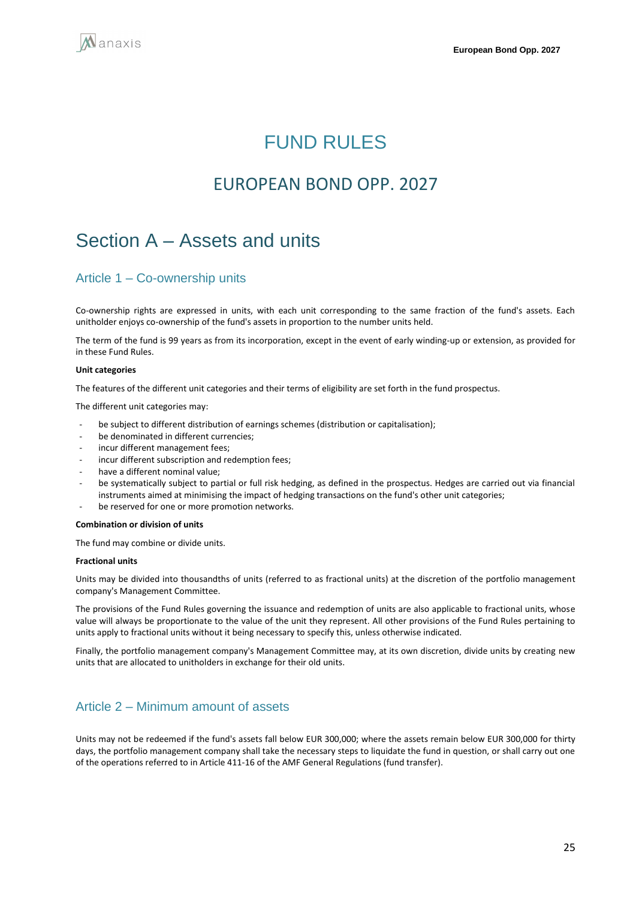<span id="page-24-0"></span>

## FUND RULES

## EUROPEAN BOND OPP. 2027

## <span id="page-24-1"></span>Section A – Assets and units

## Article 1 – Co-ownership units

Co-ownership rights are expressed in units, with each unit corresponding to the same fraction of the fund's assets. Each unitholder enjoys co-ownership of the fund's assets in proportion to the number units held.

The term of the fund is 99 years as from its incorporation, except in the event of early winding-up or extension, as provided for in these Fund Rules.

#### **Unit categories**

The features of the different unit categories and their terms of eligibility are set forth in the fund prospectus.

The different unit categories may:

- be subject to different distribution of earnings schemes (distribution or capitalisation);
- be denominated in different currencies;
- incur different management fees;
- incur different subscription and redemption fees;
- have a different nominal value;
- be systematically subject to partial or full risk hedging, as defined in the prospectus. Hedges are carried out via financial instruments aimed at minimising the impact of hedging transactions on the fund's other unit categories;
- be reserved for one or more promotion networks.

#### **Combination or division of units**

The fund may combine or divide units.

#### **Fractional units**

Units may be divided into thousandths of units (referred to as fractional units) at the discretion of the portfolio management company's Management Committee.

The provisions of the Fund Rules governing the issuance and redemption of units are also applicable to fractional units, whose value will always be proportionate to the value of the unit they represent. All other provisions of the Fund Rules pertaining to units apply to fractional units without it being necessary to specify this, unless otherwise indicated.

Finally, the portfolio management company's Management Committee may, at its own discretion, divide units by creating new units that are allocated to unitholders in exchange for their old units.

## Article 2 – Minimum amount of assets

Units may not be redeemed if the fund's assets fall below EUR 300,000; where the assets remain below EUR 300,000 for thirty days, the portfolio management company shall take the necessary steps to liquidate the fund in question, or shall carry out one of the operations referred to in Article 411-16 of the AMF General Regulations (fund transfer).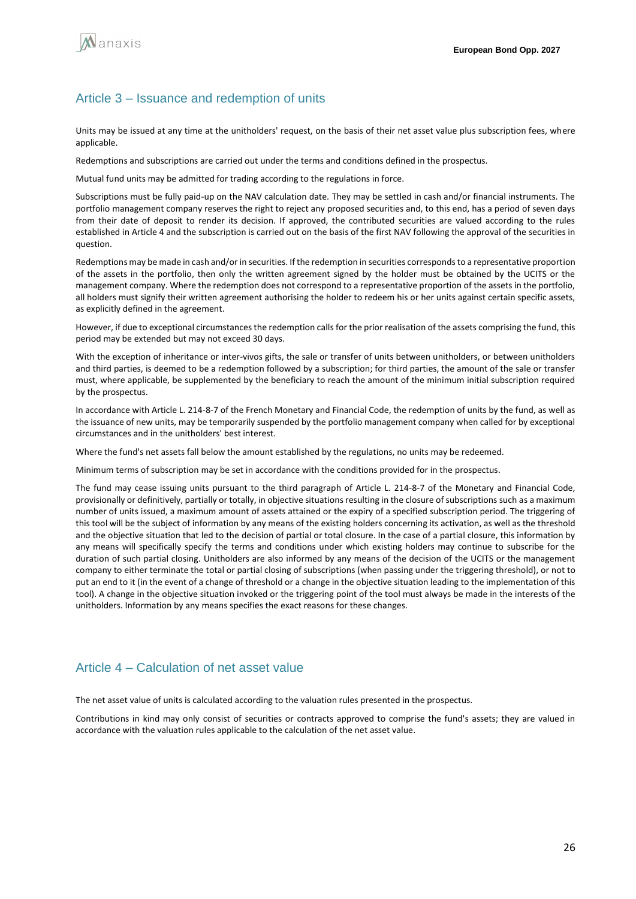

### Article 3 – Issuance and redemption of units

Units may be issued at any time at the unitholders' request, on the basis of their net asset value plus subscription fees, where applicable.

Redemptions and subscriptions are carried out under the terms and conditions defined in the prospectus.

Mutual fund units may be admitted for trading according to the regulations in force.

Subscriptions must be fully paid-up on the NAV calculation date. They may be settled in cash and/or financial instruments. The portfolio management company reserves the right to reject any proposed securities and, to this end, has a period of seven days from their date of deposit to render its decision. If approved, the contributed securities are valued according to the rules established in Article 4 and the subscription is carried out on the basis of the first NAV following the approval of the securities in question.

Redemptions may be made in cash and/or in securities. If the redemption in securities corresponds to a representative proportion of the assets in the portfolio, then only the written agreement signed by the holder must be obtained by the UCITS or the management company. Where the redemption does not correspond to a representative proportion of the assets in the portfolio, all holders must signify their written agreement authorising the holder to redeem his or her units against certain specific assets, as explicitly defined in the agreement.

However, if due to exceptional circumstances the redemption calls for the prior realisation of the assets comprising the fund, this period may be extended but may not exceed 30 days.

With the exception of inheritance or inter-vivos gifts, the sale or transfer of units between unitholders, or between unitholders and third parties, is deemed to be a redemption followed by a subscription; for third parties, the amount of the sale or transfer must, where applicable, be supplemented by the beneficiary to reach the amount of the minimum initial subscription required by the prospectus.

In accordance with Article L. 214-8-7 of the French Monetary and Financial Code, the redemption of units by the fund, as well as the issuance of new units, may be temporarily suspended by the portfolio management company when called for by exceptional circumstances and in the unitholders' best interest.

Where the fund's net assets fall below the amount established by the regulations, no units may be redeemed.

Minimum terms of subscription may be set in accordance with the conditions provided for in the prospectus.

The fund may cease issuing units pursuant to the third paragraph of Article L. 214-8-7 of the Monetary and Financial Code, provisionally or definitively, partially or totally, in objective situations resulting in the closure of subscriptions such as a maximum number of units issued, a maximum amount of assets attained or the expiry of a specified subscription period. The triggering of this tool will be the subject of information by any means of the existing holders concerning its activation, as well as the threshold and the objective situation that led to the decision of partial or total closure. In the case of a partial closure, this information by any means will specifically specify the terms and conditions under which existing holders may continue to subscribe for the duration of such partial closing. Unitholders are also informed by any means of the decision of the UCITS or the management company to either terminate the total or partial closing of subscriptions (when passing under the triggering threshold), or not to put an end to it (in the event of a change of threshold or a change in the objective situation leading to the implementation of this tool). A change in the objective situation invoked or the triggering point of the tool must always be made in the interests of the unitholders. Information by any means specifies the exact reasons for these changes.

## Article 4 – Calculation of net asset value

The net asset value of units is calculated according to the valuation rules presented in the prospectus.

Contributions in kind may only consist of securities or contracts approved to comprise the fund's assets; they are valued in accordance with the valuation rules applicable to the calculation of the net asset value.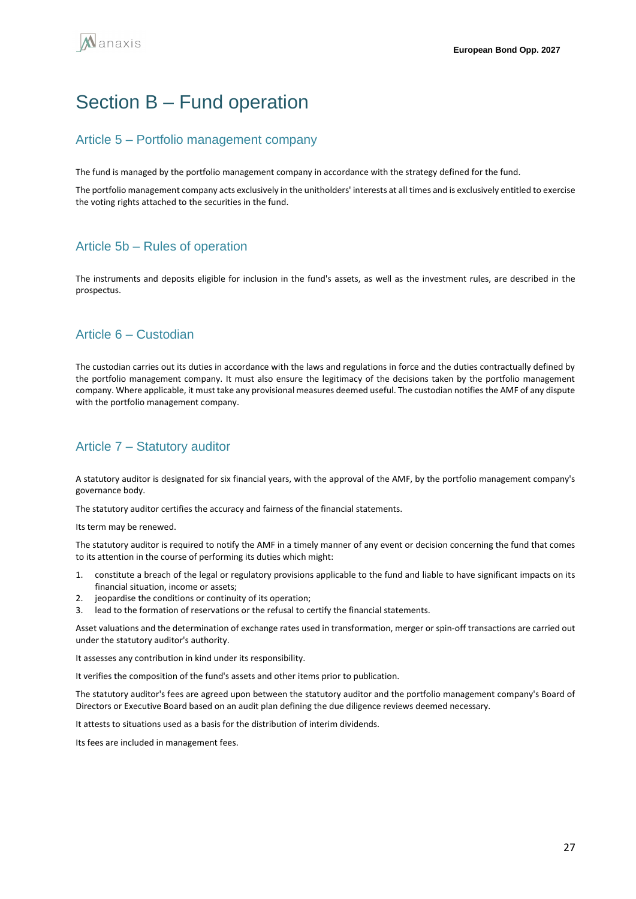## <span id="page-26-0"></span>Section B – Fund operation

## Article 5 – Portfolio management company

The fund is managed by the portfolio management company in accordance with the strategy defined for the fund.

The portfolio management company acts exclusively in the unitholders' interests at all times and is exclusively entitled to exercise the voting rights attached to the securities in the fund.

## Article 5b – Rules of operation

The instruments and deposits eligible for inclusion in the fund's assets, as well as the investment rules, are described in the prospectus.

## Article 6 – Custodian

The custodian carries out its duties in accordance with the laws and regulations in force and the duties contractually defined by the portfolio management company. It must also ensure the legitimacy of the decisions taken by the portfolio management company. Where applicable, it must take any provisional measures deemed useful. The custodian notifies the AMF of any dispute with the portfolio management company.

## Article 7 – Statutory auditor

A statutory auditor is designated for six financial years, with the approval of the AMF, by the portfolio management company's governance body.

The statutory auditor certifies the accuracy and fairness of the financial statements.

Its term may be renewed.

The statutory auditor is required to notify the AMF in a timely manner of any event or decision concerning the fund that comes to its attention in the course of performing its duties which might:

- 1. constitute a breach of the legal or regulatory provisions applicable to the fund and liable to have significant impacts on its financial situation, income or assets;
- 2. jeopardise the conditions or continuity of its operation;
- 3. lead to the formation of reservations or the refusal to certify the financial statements.

Asset valuations and the determination of exchange rates used in transformation, merger or spin-off transactions are carried out under the statutory auditor's authority.

It assesses any contribution in kind under its responsibility.

It verifies the composition of the fund's assets and other items prior to publication.

The statutory auditor's fees are agreed upon between the statutory auditor and the portfolio management company's Board of Directors or Executive Board based on an audit plan defining the due diligence reviews deemed necessary.

It attests to situations used as a basis for the distribution of interim dividends.

Its fees are included in management fees.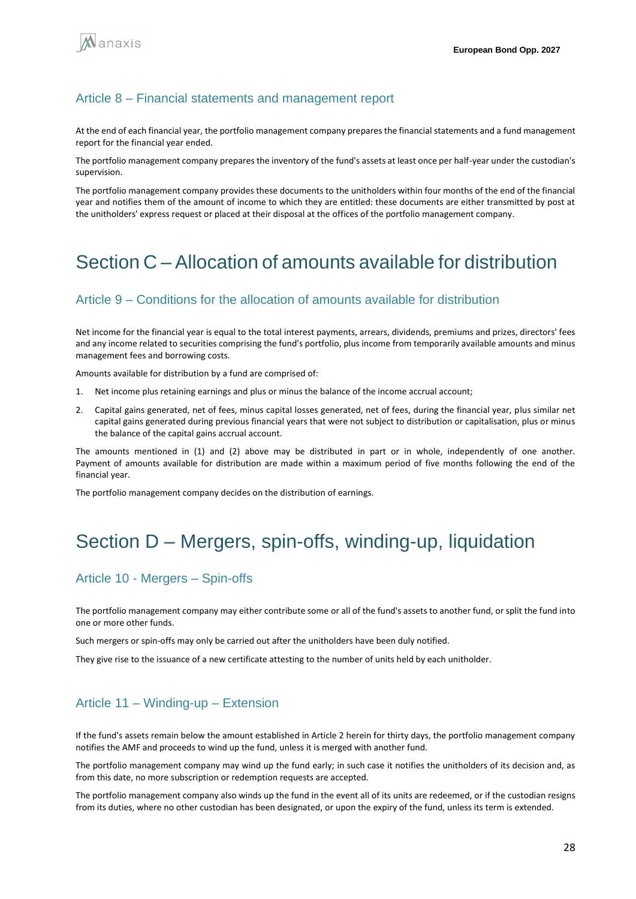

### Article 8 – Financial statements and management report

At the end of each financial year, the portfolio management company prepares the financial statements and a fund management report for the financial year ended.

The portfolio management company prepares the inventory of the fund's assets at least once per half-year under the custodian's supervision.

The portfolio management company provides these documents to the unitholders within four months of the end of the financial year and notifies them of the amount of income to which they are entitled: these documents are either transmitted by post at the unitholders' express request or placed at their disposal at the offices of the portfolio management company.

## <span id="page-27-0"></span>Section C – Allocation of amounts available for distribution

### Article 9 – Conditions for the allocation of amounts available for distribution

Net income for the financial year is equal to the total interest payments, arrears, dividends, premiums and prizes, directors' fees and any income related to securities comprising the fund's portfolio, plus income from temporarily available amounts and minus management fees and borrowing costs.

Amounts available for distribution by a fund are comprised of:

- 1. Net income plus retaining earnings and plus or minus the balance of the income accrual account;
- 2. Capital gains generated, net of fees, minus capital losses generated, net of fees, during the financial year, plus similar net capital gains generated during previous financial years that were not subject to distribution or capitalisation, plus or minus the balance of the capital gains accrual account.

The amounts mentioned in (1) and (2) above may be distributed in part or in whole, independently of one another. Payment of amounts available for distribution are made within a maximum period of five months following the end of the financial year.

The portfolio management company decides on the distribution of earnings.

## <span id="page-27-1"></span>Section D – Mergers, spin-offs, winding-up, liquidation

### Article 10 - Mergers – Spin-offs

The portfolio management company may either contribute some or all of the fund's assets to another fund, or split the fund into one or more other funds.

Such mergers or spin-offs may only be carried out after the unitholders have been duly notified.

They give rise to the issuance of a new certificate attesting to the number of units held by each unitholder.

### Article 11 – Winding-up – Extension

If the fund's assets remain below the amount established in Article 2 herein for thirty days, the portfolio management company notifies the AMF and proceeds to wind up the fund, unless it is merged with another fund.

The portfolio management company may wind up the fund early; in such case it notifies the unitholders of its decision and, as from this date, no more subscription or redemption requests are accepted.

The portfolio management company also winds up the fund in the event all of its units are redeemed, or if the custodian resigns from its duties, where no other custodian has been designated, or upon the expiry of the fund, unless its term is extended.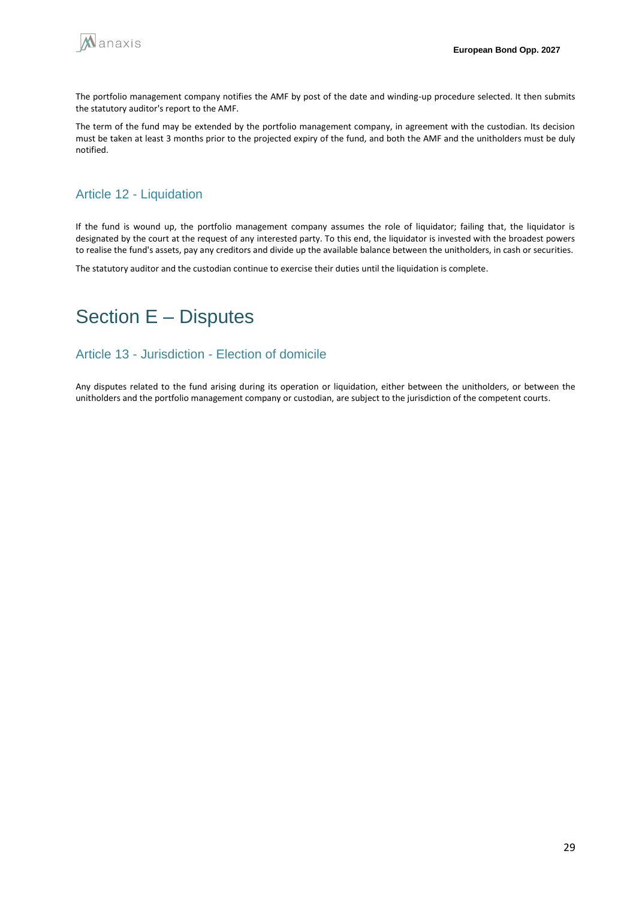

The portfolio management company notifies the AMF by post of the date and winding-up procedure selected. It then submits the statutory auditor's report to the AMF.

The term of the fund may be extended by the portfolio management company, in agreement with the custodian. Its decision must be taken at least 3 months prior to the projected expiry of the fund, and both the AMF and the unitholders must be duly notified.

## Article 12 - Liquidation

If the fund is wound up, the portfolio management company assumes the role of liquidator; failing that, the liquidator is designated by the court at the request of any interested party. To this end, the liquidator is invested with the broadest powers to realise the fund's assets, pay any creditors and divide up the available balance between the unitholders, in cash or securities.

The statutory auditor and the custodian continue to exercise their duties until the liquidation is complete.

## <span id="page-28-0"></span>Section E – Disputes

### Article 13 - Jurisdiction - Election of domicile

Any disputes related to the fund arising during its operation or liquidation, either between the unitholders, or between the unitholders and the portfolio management company or custodian, are subject to the jurisdiction of the competent courts.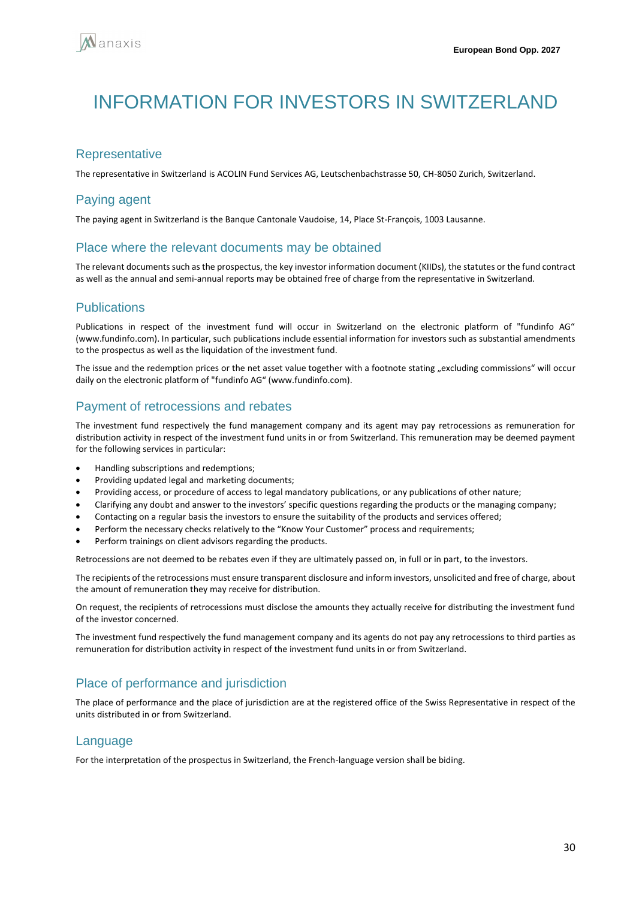# <span id="page-29-0"></span>INFORMATION FOR INVESTORS IN SWITZERI AND

## **Representative**

The representative in Switzerland is ACOLIN Fund Services AG, Leutschenbachstrasse 50, CH-8050 Zurich, Switzerland.

## Paying agent

The paying agent in Switzerland is the Banque Cantonale Vaudoise, 14, Place St-François, 1003 Lausanne.

### Place where the relevant documents may be obtained

The relevant documents such as the prospectus, the key investor information document (KIIDs), the statutes or the fund contract as well as the annual and semi-annual reports may be obtained free of charge from the representative in Switzerland.

## **Publications**

Publications in respect of the investment fund will occur in Switzerland on the electronic platform of "fundinfo AG" (www.fundinfo.com). In particular, such publications include essential information for investors such as substantial amendments to the prospectus as well as the liquidation of the investment fund.

The issue and the redemption prices or the net asset value together with a footnote stating "excluding commissions" will occur daily on the electronic platform of "fundinfo AG" (www.fundinfo.com).

## Payment of retrocessions and rebates

The investment fund respectively the fund management company and its agent may pay retrocessions as remuneration for distribution activity in respect of the investment fund units in or from Switzerland. This remuneration may be deemed payment for the following services in particular:

- Handling subscriptions and redemptions;
- Providing updated legal and marketing documents;
- Providing access, or procedure of access to legal mandatory publications, or any publications of other nature;
- Clarifying any doubt and answer to the investors' specific questions regarding the products or the managing company;
- Contacting on a regular basis the investors to ensure the suitability of the products and services offered;
- Perform the necessary checks relatively to the "Know Your Customer" process and requirements;
- Perform trainings on client advisors regarding the products.

Retrocessions are not deemed to be rebates even if they are ultimately passed on, in full or in part, to the investors.

The recipients of the retrocessions must ensure transparent disclosure and inform investors, unsolicited and free of charge, about the amount of remuneration they may receive for distribution.

On request, the recipients of retrocessions must disclose the amounts they actually receive for distributing the investment fund of the investor concerned.

The investment fund respectively the fund management company and its agents do not pay any retrocessions to third parties as remuneration for distribution activity in respect of the investment fund units in or from Switzerland.

## Place of performance and jurisdiction

The place of performance and the place of jurisdiction are at the registered office of the Swiss Representative in respect of the units distributed in or from Switzerland.

### Language

For the interpretation of the prospectus in Switzerland, the French-language version shall be biding.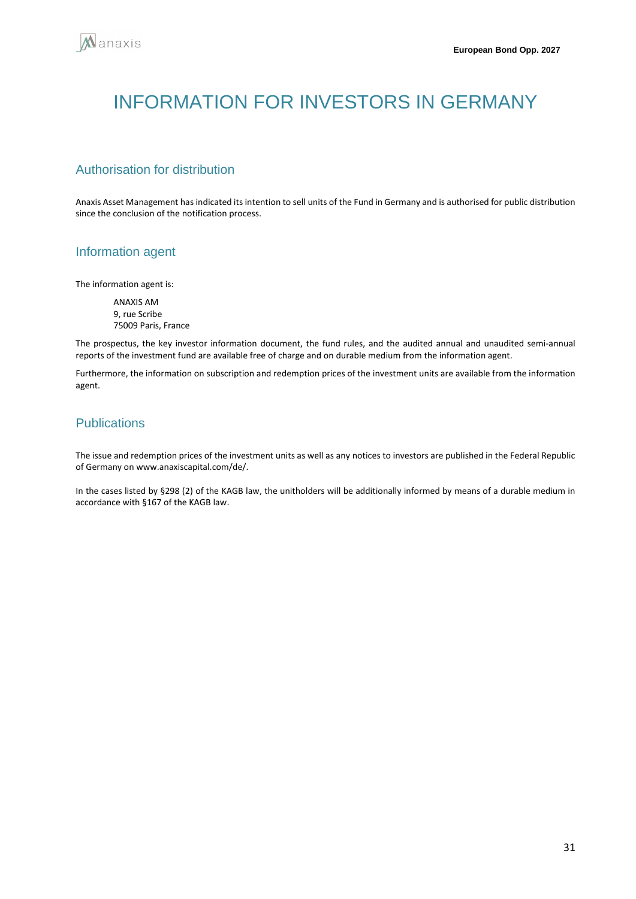# <span id="page-30-0"></span>INFORMATION FOR INVESTORS IN GERMANY

## Authorisation for distribution

Anaxis Asset Management has indicated its intention to sell units of the Fund in Germany and is authorised for public distribution since the conclusion of the notification process.

## Information agent

The information agent is:

ANAXIS AM 9, rue Scribe 75009 Paris, France

The prospectus, the key investor information document, the fund rules, and the audited annual and unaudited semi-annual reports of the investment fund are available free of charge and on durable medium from the information agent.

Furthermore, the information on subscription and redemption prices of the investment units are available from the information agent.

## **Publications**

The issue and redemption prices of the investment units as well as any notices to investors are published in the Federal Republic of Germany on www.anaxiscapital.com/de/.

In the cases listed by §298 (2) of the KAGB law, the unitholders will be additionally informed by means of a durable medium in accordance with §167 of the KAGB law.